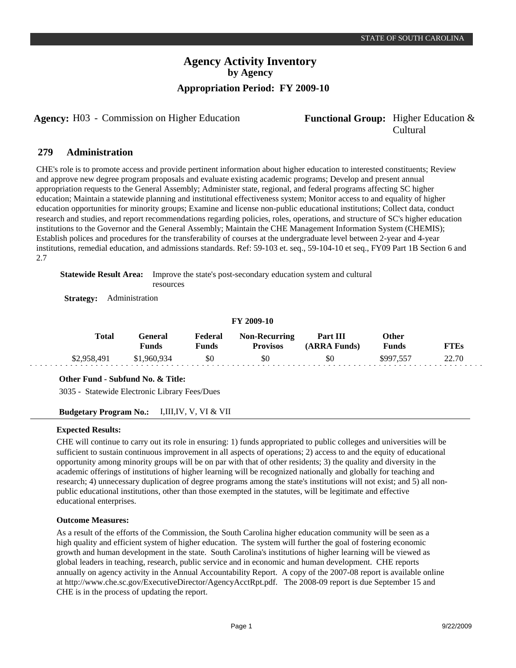**Agency:** H03 - Commission on Higher Education **Functional Group:** Higher Education &

# Cultural

#### **Administration 279**

CHE's role is to promote access and provide pertinent information about higher education to interested constituents; Review and approve new degree program proposals and evaluate existing academic programs; Develop and present annual appropriation requests to the General Assembly; Administer state, regional, and federal programs affecting SC higher education; Maintain a statewide planning and institutional effectiveness system; Monitor access to and equality of higher education opportunities for minority groups; Examine and license non-public educational institutions; Collect data, conduct research and studies, and report recommendations regarding policies, roles, operations, and structure of SC's higher education institutions to the Governor and the General Assembly; Maintain the CHE Management Information System (CHEMIS); Establish polices and procedures for the transferability of courses at the undergraduate level between 2-year and 4-year institutions, remedial education, and admissions standards. Ref: 59-103 et. seq., 59-104-10 et seq., FY09 Part 1B Section 6 and 2.7

**Statewide Result Area:** Improve the state's post-secondary education system and cultural resources

**Strategy:** Administration

## **FY 2009-10**

| <b>Total</b> | l -eneral<br>Funds | Federal<br>प <b>unds</b> | <b>Non-Recurring</b><br><b>Provisos</b> | Part III<br>(ARRA Funds) | Other<br><b>Funds</b> |       |
|--------------|--------------------|--------------------------|-----------------------------------------|--------------------------|-----------------------|-------|
| \$2,958,491  | \$1,960,934        | \$0                      | \$0                                     | \$0                      | \$997.55              | 22.70 |

## **Other Fund - Subfund No. & Title:**

3035 - Statewide Electronic Library Fees/Dues

## **Budgetary Program No.:** I,III,IV, V, VI & VII

## **Expected Results:**

CHE will continue to carry out its role in ensuring: 1) funds appropriated to public colleges and universities will be sufficient to sustain continuous improvement in all aspects of operations; 2) access to and the equity of educational opportunity among minority groups will be on par with that of other residents; 3) the quality and diversity in the academic offerings of institutions of higher learning will be recognized nationally and globally for teaching and research; 4) unnecessary duplication of degree programs among the state's institutions will not exist; and 5) all nonpublic educational institutions, other than those exempted in the statutes, will be legitimate and effective educational enterprises.

## **Outcome Measures:**

As a result of the efforts of the Commission, the South Carolina higher education community will be seen as a high quality and efficient system of higher education. The system will further the goal of fostering economic growth and human development in the state. South Carolina's institutions of higher learning will be viewed as global leaders in teaching, research, public service and in economic and human development. CHE reports annually on agency activity in the Annual Accountability Report. A copy of the 2007-08 report is available online at http://www.che.sc.gov/ExecutiveDirector/AgencyAcctRpt.pdf. The 2008-09 report is due September 15 and CHE is in the process of updating the report.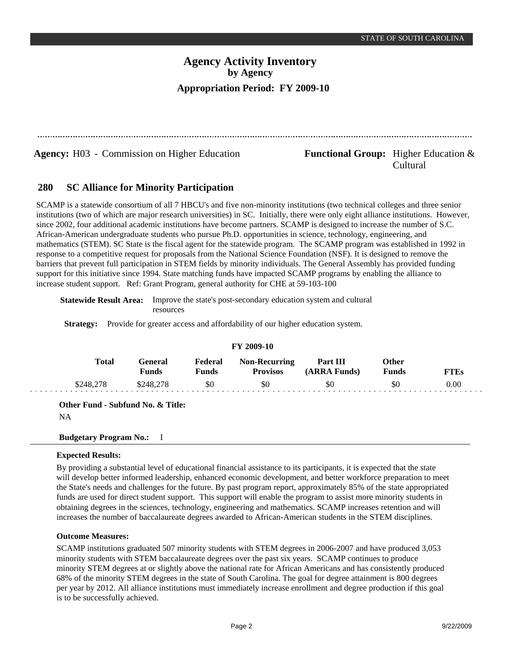Cultural

# **Agency Activity Inventory by Agency Appropriation Period: FY 2009-10**

**Agency:** H03 - Commission on Higher Education **Functional Group:** Higher Education &

#### **SC Alliance for Minority Participation 280**

SCAMP is a statewide consortium of all 7 HBCU's and five non-minority institutions (two technical colleges and three senior institutions (two of which are major research universities) in SC. Initially, there were only eight alliance institutions. However, since 2002, four additional academic institutions have become partners. SCAMP is designed to increase the number of S.C. African-American undergraduate students who pursue Ph.D. opportunities in science, technology, engineering, and mathematics (STEM). SC State is the fiscal agent for the statewide program. The SCAMP program was established in 1992 in response to a competitive request for proposals from the National Science Foundation (NSF). It is designed to remove the barriers that prevent full participation in STEM fields by minority individuals. The General Assembly has provided funding support for this initiative since 1994. State matching funds have impacted SCAMP programs by enabling the alliance to increase student support. Ref: Grant Program, general authority for CHE at 59-103-100

**Statewide Result Area:** Improve the state's post-secondary education system and cultural resources

**Strategy:** Provide for greater access and affordability of our higher education system.

| <b>FY 2009-10</b> |           |                         |                         |                                         |                          |                       |             |  |  |
|-------------------|-----------|-------------------------|-------------------------|-----------------------------------------|--------------------------|-----------------------|-------------|--|--|
|                   | Total     | General<br><b>Funds</b> | Federal<br><b>Funds</b> | <b>Non-Recurring</b><br><b>Provisos</b> | Part III<br>(ARRA Funds) | Other<br><b>Funds</b> | <b>FTEs</b> |  |  |
|                   | \$248,278 | \$248,278               | \$0                     | \$0                                     | \$0                      | \$0                   | 0.00        |  |  |

**Other Fund - Subfund No. & Title:**

NA

## **Budgetary Program No.:** I

## **Expected Results:**

By providing a substantial level of educational financial assistance to its participants, it is expected that the state will develop better informed leadership, enhanced economic development, and better workforce preparation to meet the State's needs and challenges for the future. By past program report, approximately 85% of the state appropriated funds are used for direct student support. This support will enable the program to assist more minority students in obtaining degrees in the sciences, technology, engineering and mathematics. SCAMP increases retention and will increases the number of baccalaureate degrees awarded to African-American students in the STEM disciplines.

## **Outcome Measures:**

SCAMP institutions graduated 507 minority students with STEM degrees in 2006-2007 and have produced 3,053 minority students with STEM baccalaureate degrees over the past six years. SCAMP continues to produce minority STEM degrees at or slightly above the national rate for African Americans and has consistently produced 68% of the minority STEM degrees in the state of South Carolina. The goal for degree attainment is 800 degrees per year by 2012. All alliance institutions must immediately increase enrollment and degree production if this goal is to be successfully achieved.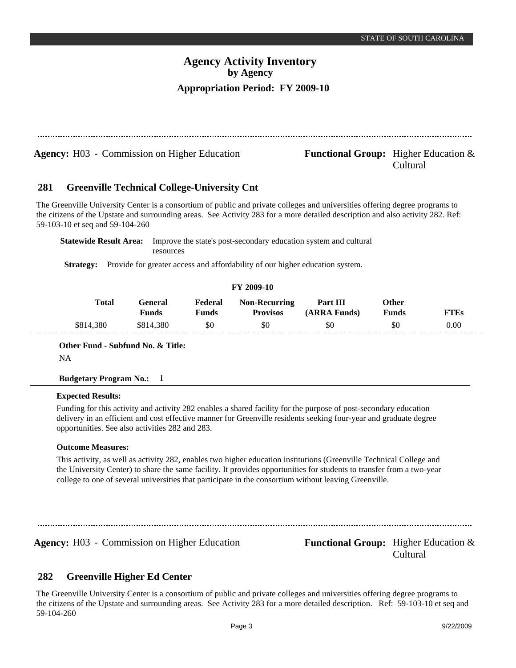|     | <b>Agency:</b> H03 - Commission on Higher Education |                                |                  |                                                                              | <b>Functional Group:</b> Higher Education $\&$                                                                                                                                                                                                                  | Cultural                     |             |
|-----|-----------------------------------------------------|--------------------------------|------------------|------------------------------------------------------------------------------|-----------------------------------------------------------------------------------------------------------------------------------------------------------------------------------------------------------------------------------------------------------------|------------------------------|-------------|
| 281 | <b>Greenville Technical College-University Cnt</b>  |                                |                  |                                                                              |                                                                                                                                                                                                                                                                 |                              |             |
|     | 59-103-10 et seq and 59-104-260                     |                                |                  |                                                                              | The Greenville University Center is a consortium of public and private colleges and universities offering degree programs to<br>the citizens of the Upstate and surrounding areas. See Activity 283 for a more detailed description and also activity 282. Ref: |                              |             |
|     | <b>Statewide Result Area:</b>                       | resources                      |                  |                                                                              | Improve the state's post-secondary education system and cultural                                                                                                                                                                                                |                              |             |
|     | <b>Strategy:</b>                                    |                                |                  | Provide for greater access and affordability of our higher education system. |                                                                                                                                                                                                                                                                 |                              |             |
|     |                                                     |                                |                  | FY 2009-10                                                                   |                                                                                                                                                                                                                                                                 |                              |             |
|     | <b>Total</b>                                        | <b>General</b><br><b>Funds</b> | Federal<br>Funds | <b>Non-Recurring</b><br><b>Provisos</b>                                      | Part III<br>(ARRA Funds)                                                                                                                                                                                                                                        | <b>Other</b><br><b>Funds</b> | <b>FTEs</b> |
|     | \$814,380                                           | \$814,380                      | \$0              | \$0                                                                          | \$0                                                                                                                                                                                                                                                             | \$0                          | 0.00        |

**Other Fund - Subfund No. & Title:** NA

## **Budgetary Program No.:** I

## **Expected Results:**

Funding for this activity and activity 282 enables a shared facility for the purpose of post-secondary education delivery in an efficient and cost effective manner for Greenville residents seeking four-year and graduate degree opportunities. See also activities 282 and 283.

## **Outcome Measures:**

This activity, as well as activity 282, enables two higher education institutions (Greenville Technical College and the University Center) to share the same facility. It provides opportunities for students to transfer from a two-year college to one of several universities that participate in the consortium without leaving Greenville.

**Agency:** H03 - Commission on Higher Education **Functional Group:** Higher Education &

Cultural

#### **Greenville Higher Ed Center 282**

The Greenville University Center is a consortium of public and private colleges and universities offering degree programs to the citizens of the Upstate and surrounding areas. See Activity 283 for a more detailed description. Ref: 59-103-10 et seq and 59-104-260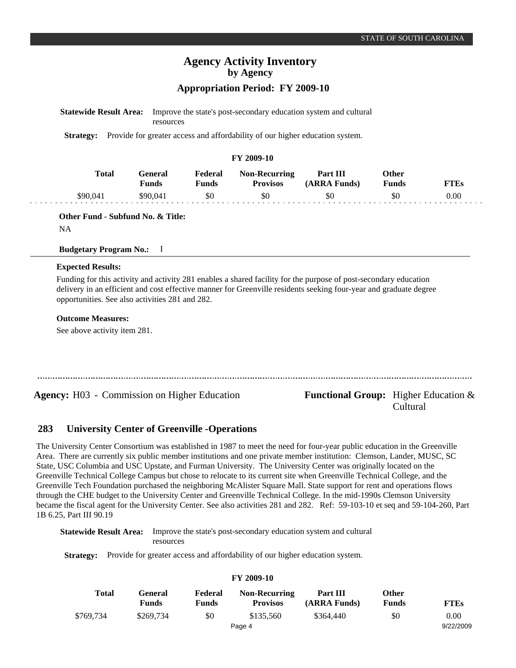# **Agency Activity Inventory by Agency**

## **Appropriation Period: FY 2009-10**

| <b>Statewide Result Area:</b> Improve the state's post-secondary education system and cultural |
|------------------------------------------------------------------------------------------------|
| <b>resources</b>                                                                               |

**Strategy:** Provide for greater access and affordability of our higher education system.

#### **FY 2009-10**

| Total   | Feneral<br>$\mathbf{v}_{\mathbf{unds}}$ | Federal<br>$T$ unds | <b>Non-Recurring</b><br><b>Provisos</b> | Part III<br>(ARRA Funds) | Other<br>Funds | TTEs |
|---------|-----------------------------------------|---------------------|-----------------------------------------|--------------------------|----------------|------|
| 690.04° | S90 041                                 | \$0                 | \$0                                     | 50                       | SC             | 0.00 |

**Other Fund - Subfund No. & Title:**

NA

#### **Budgetary Program No.:** I

#### **Expected Results:**

Funding for this activity and activity 281 enables a shared facility for the purpose of post-secondary education delivery in an efficient and cost effective manner for Greenville residents seeking four-year and graduate degree opportunities. See also activities 281 and 282.

#### **Outcome Measures:**

See above activity item 281.

**Agency:** H03 - Commission on Higher Education **Functional Group:** Higher Education &

# Cultural

#### **University Center of Greenville -Operations 283**

The University Center Consortium was established in 1987 to meet the need for four-year public education in the Greenville Area. There are currently six public member institutions and one private member institution: Clemson, Lander, MUSC, SC State, USC Columbia and USC Upstate, and Furman University. The University Center was originally located on the Greenville Technical College Campus but chose to relocate to its current site when Greenville Technical College, and the Greenville Tech Foundation purchased the neighboring McAlister Square Mall. State support for rent and operations flows through the CHE budget to the University Center and Greenville Technical College. In the mid-1990s Clemson University became the fiscal agent for the University Center. See also activities 281 and 282. Ref: 59-103-10 et seq and 59-104-260, Part 1B 6.25, Part III 90.19

**FY 2009-10**

**Statewide Result Area:** Improve the state's post-secondary education system and cultural resources

**Strategy:** Provide for greater access and affordability of our higher education system.

| Total     | General<br><b>Funds</b> | Federal<br>Funds | <b>Non-Recurring</b><br><b>Provisos</b> | Part III<br>(ARRA Funds) | Other<br><b>Funds</b> | <b>FTEs</b> |
|-----------|-------------------------|------------------|-----------------------------------------|--------------------------|-----------------------|-------------|
| \$769,734 | \$269,734               | \$0              | \$135,560                               | \$364,440                | \$0                   | 0.00        |
|           |                         |                  | Page 4                                  |                          |                       | 9/22/2009   |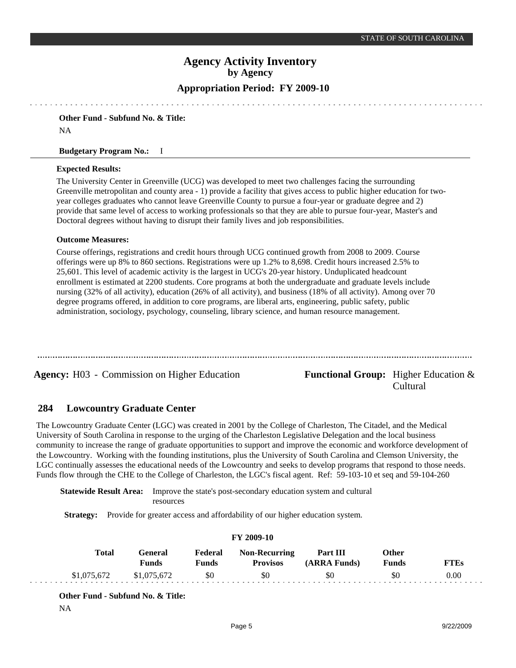# **Agency Activity Inventory by Agency**

## **Appropriation Period: FY 2009-10**

**Other Fund - Subfund No. & Title:** NA

#### **Budgetary Program No.:** I

#### **Expected Results:**

The University Center in Greenville (UCG) was developed to meet two challenges facing the surrounding Greenville metropolitan and county area - 1) provide a facility that gives access to public higher education for twoyear colleges graduates who cannot leave Greenville County to pursue a four-year or graduate degree and 2) provide that same level of access to working professionals so that they are able to pursue four-year, Master's and Doctoral degrees without having to disrupt their family lives and job responsibilities.

#### **Outcome Measures:**

Course offerings, registrations and credit hours through UCG continued growth from 2008 to 2009. Course offerings were up 8% to 860 sections. Registrations were up 1.2% to 8,698. Credit hours increased 2.5% to 25,601. This level of academic activity is the largest in UCG's 20-year history. Unduplicated headcount enrollment is estimated at 2200 students. Core programs at both the undergraduate and graduate levels include nursing (32% of all activity), education (26% of all activity), and business (18% of all activity). Among over 70 degree programs offered, in addition to core programs, are liberal arts, engineering, public safety, public administration, sociology, psychology, counseling, library science, and human resource management.

**Agency:** H03 - Commission on Higher Education **Functional Group:** Higher Education &

Cultural

#### **Lowcountry Graduate Center 284**

The Lowcountry Graduate Center (LGC) was created in 2001 by the College of Charleston, The Citadel, and the Medical University of South Carolina in response to the urging of the Charleston Legislative Delegation and the local business community to increase the range of graduate opportunities to support and improve the economic and workforce development of the Lowcountry. Working with the founding institutions, plus the University of South Carolina and Clemson University, the LGC continually assesses the educational needs of the Lowcountry and seeks to develop programs that respond to those needs. Funds flow through the CHE to the College of Charleston, the LGC's fiscal agent. Ref: 59-103-10 et seq and 59-104-260

**Statewide Result Area:** Improve the state's post-secondary education system and cultural resources

**Strategy:** Provide for greater access and affordability of our higher education system.

#### **FY 2009-10 General Funds**  \$1,075,672 **Other Funds** \$0 **Federal Funds**  \$0 **FTEs** 0.00 **Total**  \$1,075,672 **Non-Recurring Provisos** \$0 **Part III (ARRA Funds)** \$0

**Other Fund - Subfund No. & Title:**

NA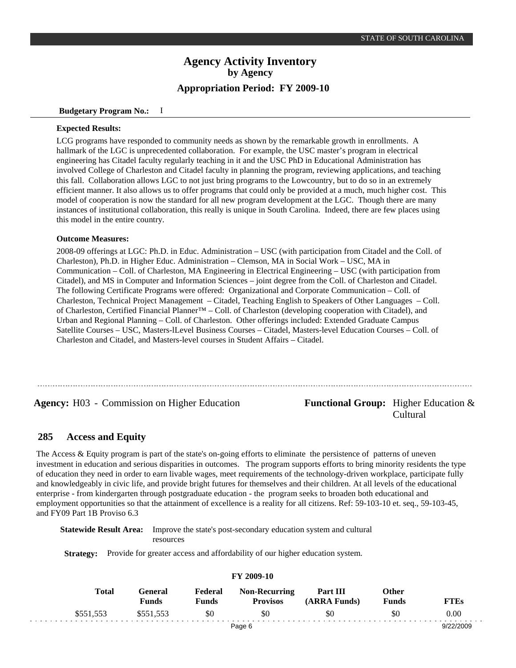#### **Budgetary Program No.:** I

#### **Expected Results:**

LCG programs have responded to community needs as shown by the remarkable growth in enrollments. A hallmark of the LGC is unprecedented collaboration. For example, the USC master's program in electrical engineering has Citadel faculty regularly teaching in it and the USC PhD in Educational Administration has involved College of Charleston and Citadel faculty in planning the program, reviewing applications, and teaching this fall. Collaboration allows LGC to not just bring programs to the Lowcountry, but to do so in an extremely efficient manner. It also allows us to offer programs that could only be provided at a much, much higher cost. This model of cooperation is now the standard for all new program development at the LGC. Though there are many instances of institutional collaboration, this really is unique in South Carolina. Indeed, there are few places using this model in the entire country.

#### **Outcome Measures:**

2008-09 offerings at LGC: Ph.D. in Educ. Administration – USC (with participation from Citadel and the Coll. of Charleston), Ph.D. in Higher Educ. Administration – Clemson, MA in Social Work – USC, MA in Communication – Coll. of Charleston, MA Engineering in Electrical Engineering – USC (with participation from Citadel), and MS in Computer and Information Sciences – joint degree from the Coll. of Charleston and Citadel. The following Certificate Programs were offered: Organizational and Corporate Communication – Coll. of Charleston, Technical Project Management – Citadel, Teaching English to Speakers of Other Languages – Coll. of Charleston, Certified Financial Planner™ – Coll. of Charleston (developing cooperation with Citadel), and Urban and Regional Planning – Coll. of Charleston. Other offerings included: Extended Graduate Campus Satellite Courses – USC, Masters-lLevel Business Courses – Citadel, Masters-level Education Courses – Coll. of Charleston and Citadel, and Masters-level courses in Student Affairs – Citadel.

**Agency:** H03 - Commission on Higher Education **Functional Group:** Higher Education &

# Cultural

#### **Access and Equity 285**

The Access & Equity program is part of the state's on-going efforts to eliminate the persistence of patterns of uneven investment in education and serious disparities in outcomes. The program supports efforts to bring minority residents the type of education they need in order to earn livable wages, meet requirements of the technology-driven workplace, participate fully and knowledgeably in civic life, and provide bright futures for themselves and their children. At all levels of the educational enterprise - from kindergarten through postgraduate education - the program seeks to broaden both educational and employment opportunities so that the attainment of excellence is a reality for all citizens. Ref: 59-103-10 et. seq., 59-103-45, and FY09 Part 1B Proviso 6.3

**Statewide Result Area:** Improve the state's post-secondary education system and cultural resources

Strategy: Provide for greater access and affordability of our higher education system.

|  | Total     | General<br>Funds | Federal<br>Funds | <b>Non-Recurring</b><br><b>Provisos</b> | Part III<br>(ARRA Funds) | Other<br>Funds | <b>FTEs</b> |  |
|--|-----------|------------------|------------------|-----------------------------------------|--------------------------|----------------|-------------|--|
|  | \$551.553 | \$551,553        | \$0              | \$0                                     | \$0                      | \$0            | 0.00        |  |
|  |           |                  |                  | Page 6                                  |                          |                | 9/22/2009   |  |

#### **FY 2009-10**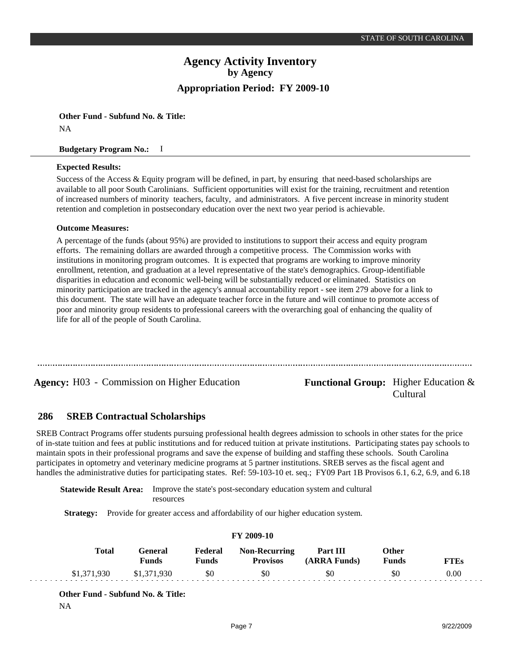**Other Fund - Subfund No. & Title:** NA

#### **Budgetary Program No.:** I

#### **Expected Results:**

Success of the Access & Equity program will be defined, in part, by ensuring that need-based scholarships are available to all poor South Carolinians. Sufficient opportunities will exist for the training, recruitment and retention of increased numbers of minority teachers, faculty, and administrators. A five percent increase in minority student retention and completion in postsecondary education over the next two year period is achievable.

#### **Outcome Measures:**

A percentage of the funds (about 95%) are provided to institutions to support their access and equity program efforts. The remaining dollars are awarded through a competitive process. The Commission works with institutions in monitoring program outcomes. It is expected that programs are working to improve minority enrollment, retention, and graduation at a level representative of the state's demographics. Group-identifiable disparities in education and economic well-being will be substantially reduced or eliminated. Statistics on minority participation are tracked in the agency's annual accountability report - see item 279 above for a link to this document. The state will have an adequate teacher force in the future and will continue to promote access of poor and minority group residents to professional careers with the overarching goal of enhancing the quality of life for all of the people of South Carolina.

**Agency:** H03 - Commission on Higher Education **Functional Group:** Higher Education &

Cultural

#### **SREB Contractual Scholarships 286**

SREB Contract Programs offer students pursuing professional health degrees admission to schools in other states for the price of in-state tuition and fees at public institutions and for reduced tuition at private institutions. Participating states pay schools to maintain spots in their professional programs and save the expense of building and staffing these schools. South Carolina participates in optometry and veterinary medicine programs at 5 partner institutions. SREB serves as the fiscal agent and handles the administrative duties for participating states. Ref: 59-103-10 et. seq.; FY09 Part 1B Provisos 6.1, 6.2, 6.9, and 6.18

**Statewide Result Area:** Improve the state's post-secondary education system and cultural resources

**Strategy:** Provide for greater access and affordability of our higher education system.

| Total       | General<br>Funds | Federal<br>Funds | <b>Non-Recurring</b><br><b>Provisos</b> | Part III<br>(ARRA Funds) | Other<br><b>Funds</b> | <b>FTEs</b> |  |  |  |
|-------------|------------------|------------------|-----------------------------------------|--------------------------|-----------------------|-------------|--|--|--|
| \$1,371,930 | \$1,371,930      | \$0              | \$0                                     | \$0                      | \$0                   | 0.00        |  |  |  |

**FY 2009-10**

**Other Fund - Subfund No. & Title:**

NA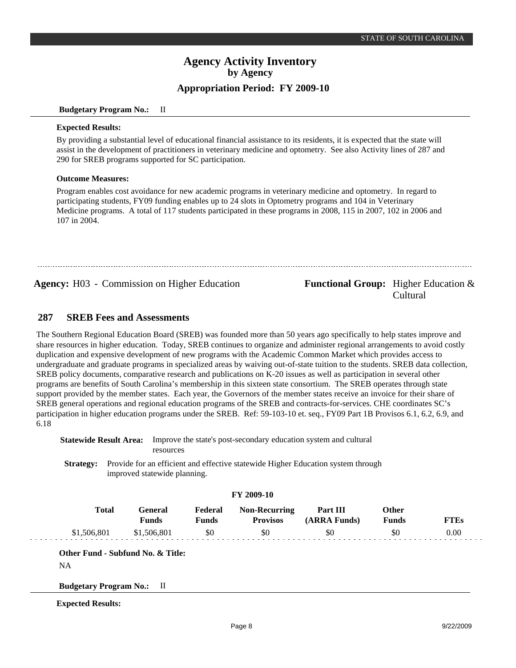#### **Budgetary Program No.:** II

#### **Expected Results:**

By providing a substantial level of educational financial assistance to its residents, it is expected that the state will assist in the development of practitioners in veterinary medicine and optometry. See also Activity lines of 287 and 290 for SREB programs supported for SC participation.

#### **Outcome Measures:**

Program enables cost avoidance for new academic programs in veterinary medicine and optometry. In regard to participating students, FY09 funding enables up to 24 slots in Optometry programs and 104 in Veterinary Medicine programs. A total of 117 students participated in these programs in 2008, 115 in 2007, 102 in 2006 and 107 in 2004.

**Agency:** H03 - Commission on Higher Education **Functional Group:** Higher Education &

# Cultural

#### **SREB Fees and Assessments 287**

The Southern Regional Education Board (SREB) was founded more than 50 years ago specifically to help states improve and share resources in higher education. Today, SREB continues to organize and administer regional arrangements to avoid costly duplication and expensive development of new programs with the Academic Common Market which provides access to undergraduate and graduate programs in specialized areas by waiving out-of-state tuition to the students. SREB data collection, SREB policy documents, comparative research and publications on K-20 issues as well as participation in several other programs are benefits of South Carolina's membership in this sixteen state consortium. The SREB operates through state support provided by the member states. Each year, the Governors of the member states receive an invoice for their share of SREB general operations and regional education programs of the SREB and contracts-for-services. CHE coordinates SC's participation in higher education programs under the SREB. Ref: 59-103-10 et. seq., FY09 Part 1B Provisos 6.1, 6.2, 6.9, and 6.18

**Statewide Result Area:** Improve the state's post-secondary education system and cultural resources

**Strategy:** Provide for an efficient and effective statewide Higher Education system through improved statewide planning.

#### **FY 2009-10**

| Total       | Feneral<br>Funds | Federal<br>Funds | <b>Non-Recurring</b><br><b>Provisos</b> | Part III<br>(ARRA Funds) | <b>Other</b><br>Funds | FTEs |
|-------------|------------------|------------------|-----------------------------------------|--------------------------|-----------------------|------|
| \$1,506,801 | \$1,506,801      | \$0              | \$0                                     | \$0                      | \$0                   | 0.00 |

**Other Fund - Subfund No. & Title:**

**Budgetary Program No.:** II

**Expected Results:**

NA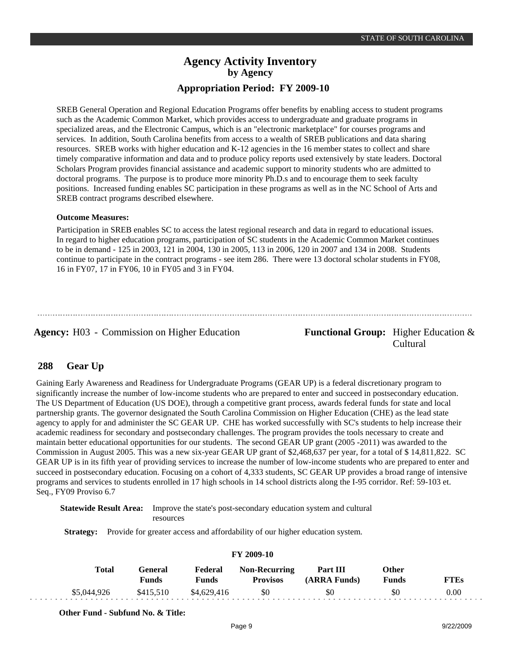SREB General Operation and Regional Education Programs offer benefits by enabling access to student programs such as the Academic Common Market, which provides access to undergraduate and graduate programs in specialized areas, and the Electronic Campus, which is an "electronic marketplace" for courses programs and services. In addition, South Carolina benefits from access to a wealth of SREB publications and data sharing resources. SREB works with higher education and K-12 agencies in the 16 member states to collect and share timely comparative information and data and to produce policy reports used extensively by state leaders. Doctoral Scholars Program provides financial assistance and academic support to minority students who are admitted to doctoral programs. The purpose is to produce more minority Ph.D.s and to encourage them to seek faculty positions. Increased funding enables SC participation in these programs as well as in the NC School of Arts and SREB contract programs described elsewhere.

#### **Outcome Measures:**

Participation in SREB enables SC to access the latest regional research and data in regard to educational issues. In regard to higher education programs, participation of SC students in the Academic Common Market continues to be in demand - 125 in 2003, 121 in 2004, 130 in 2005, 113 in 2006, 120 in 2007 and 134 in 2008. Students continue to participate in the contract programs - see item 286. There were 13 doctoral scholar students in FY08, 16 in FY07, 17 in FY06, 10 in FY05 and 3 in FY04.

Agency: H03 - Commission on Higher Education Functional Group: Higher Education &

Cultural

#### **Gear Up 288**

Gaining Early Awareness and Readiness for Undergraduate Programs (GEAR UP) is a federal discretionary program to significantly increase the number of low-income students who are prepared to enter and succeed in postsecondary education. The US Department of Education (US DOE), through a competitive grant process, awards federal funds for state and local partnership grants. The governor designated the South Carolina Commission on Higher Education (CHE) as the lead state agency to apply for and administer the SC GEAR UP. CHE has worked successfully with SC's students to help increase their academic readiness for secondary and postsecondary challenges. The program provides the tools necessary to create and maintain better educational opportunities for our students. The second GEAR UP grant (2005 -2011) was awarded to the Commission in August 2005. This was a new six-year GEAR UP grant of \$2,468,637 per year, for a total of \$ 14,811,822. SC GEAR UP is in its fifth year of providing services to increase the number of low-income students who are prepared to enter and succeed in postsecondary education. Focusing on a cohort of 4,333 students, SC GEAR UP provides a broad range of intensive programs and services to students enrolled in 17 high schools in 14 school districts along the I-95 corridor. Ref: 59-103 et. Seq., FY09 Proviso 6.7

**Statewide Result Area:** Improve the state's post-secondary education system and cultural resources

**Strategy:** Provide for greater access and affordability of our higher education system.

| $\sim$ $\sim$ $\sim$ $\sim$ $\sim$ |                          |                  |                                         |                          |                              |             |  |  |  |
|------------------------------------|--------------------------|------------------|-----------------------------------------|--------------------------|------------------------------|-------------|--|--|--|
| <b>Total</b>                       | General)<br><b>Funds</b> | Federal<br>Funds | <b>Non-Recurring</b><br><b>Provisos</b> | Part III<br>(ARRA Funds) | <b>Other</b><br><b>Funds</b> | <b>FTEs</b> |  |  |  |
| \$5,044,926                        | \$415.510                | \$4,629,416      | \$0                                     | \$0                      | \$0                          | 0.00        |  |  |  |

#### **FY 2009-10**

**Other Fund - Subfund No. & Title:**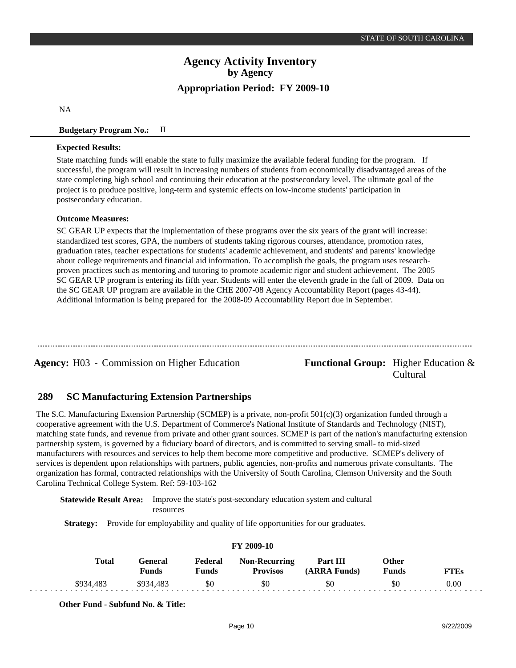NA

#### **Budgetary Program No.:** II

#### **Expected Results:**

State matching funds will enable the state to fully maximize the available federal funding for the program. If successful, the program will result in increasing numbers of students from economically disadvantaged areas of the state completing high school and continuing their education at the postsecondary level. The ultimate goal of the project is to produce positive, long-term and systemic effects on low-income students' participation in postsecondary education.

## **Outcome Measures:**

SC GEAR UP expects that the implementation of these programs over the six years of the grant will increase: standardized test scores, GPA, the numbers of students taking rigorous courses, attendance, promotion rates, graduation rates, teacher expectations for students' academic achievement, and students' and parents' knowledge about college requirements and financial aid information. To accomplish the goals, the program uses researchproven practices such as mentoring and tutoring to promote academic rigor and student achievement. The 2005 SC GEAR UP program is entering its fifth year. Students will enter the eleventh grade in the fall of 2009. Data on the SC GEAR UP program are available in the CHE 2007-08 Agency Accountability Report (pages 43-44). Additional information is being prepared for the 2008-09 Accountability Report due in September.

**Agency:** H03 - Commission on Higher Education **Functional Group:** Higher Education &

Cultural

#### **SC Manufacturing Extension Partnerships 289**

The S.C. Manufacturing Extension Partnership (SCMEP) is a private, non-profit 501(c)(3) organization funded through a cooperative agreement with the U.S. Department of Commerce's National Institute of Standards and Technology (NIST), matching state funds, and revenue from private and other grant sources. SCMEP is part of the nation's manufacturing extension partnership system, is governed by a fiduciary board of directors, and is committed to serving small- to mid-sized manufacturers with resources and services to help them become more competitive and productive. SCMEP's delivery of services is dependent upon relationships with partners, public agencies, non-profits and numerous private consultants. The organization has formal, contracted relationships with the University of South Carolina, Clemson University and the South Carolina Technical College System. Ref: 59-103-162

**Statewide Result Area:** Improve the state's post-secondary education system and cultural resources

**Strategy:** Provide for employability and quality of life opportunities for our graduates.

| FY 2009-10 |              |                  |                  |                                         |                          |                       |             |  |  |
|------------|--------------|------------------|------------------|-----------------------------------------|--------------------------|-----------------------|-------------|--|--|
|            | <b>Total</b> | General<br>Funds | Federal<br>Funds | <b>Non-Recurring</b><br><b>Provisos</b> | Part III<br>(ARRA Funds) | Other<br><b>Funds</b> | <b>FTEs</b> |  |  |
|            | \$934,483    | \$934,483        | \$0              | \$0                                     | \$0                      | \$0                   | 0.00        |  |  |

**Other Fund - Subfund No. & Title:**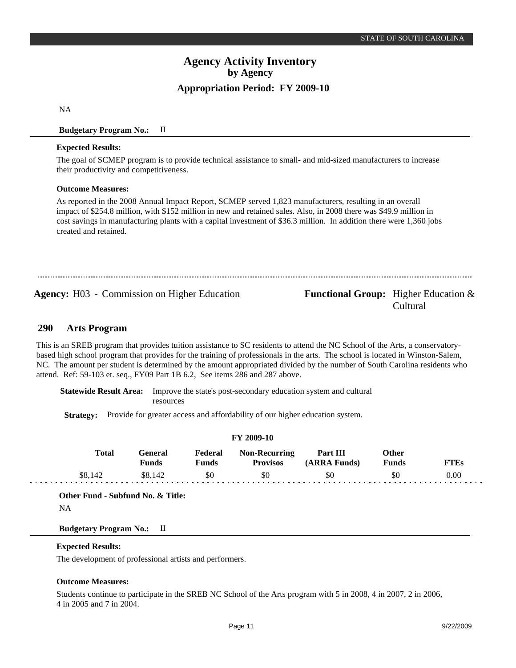NA

## **Budgetary Program No.:** II

#### **Expected Results:**

The goal of SCMEP program is to provide technical assistance to small- and mid-sized manufacturers to increase their productivity and competitiveness.

#### **Outcome Measures:**

As reported in the 2008 Annual Impact Report, SCMEP served 1,823 manufacturers, resulting in an overall impact of \$254.8 million, with \$152 million in new and retained sales. Also, in 2008 there was \$49.9 million in cost savings in manufacturing plants with a capital investment of \$36.3 million. In addition there were 1,360 jobs created and retained.

**Agency:** H03 - Commission on Higher Education **Functional Group:** Higher Education &

# Cultural

#### **Arts Program 290**

This is an SREB program that provides tuition assistance to SC residents to attend the NC School of the Arts, a conservatorybased high school program that provides for the training of professionals in the arts. The school is located in Winston-Salem, NC. The amount per student is determined by the amount appropriated divided by the number of South Carolina residents who attend. Ref: 59-103 et. seq., FY09 Part 1B 6.2, See items 286 and 287 above.

**Statewide Result Area:** Improve the state's post-secondary education system and cultural resources

**Strategy:** Provide for greater access and affordability of our higher education system.

|              |                         |                  | <b>FY 2009-10</b>                |                          |                              |             |
|--------------|-------------------------|------------------|----------------------------------|--------------------------|------------------------------|-------------|
| <b>Total</b> | General<br><b>Funds</b> | Federal<br>Funds | Non-Recurring<br><b>Provisos</b> | Part III<br>(ARRA Funds) | <b>Other</b><br><b>Funds</b> | <b>FTEs</b> |
| \$8.142      | \$8.142                 | \$0              | \$0                              | \$0                      | \$0                          | 0.00        |

**Other Fund - Subfund No. & Title:**

NA

#### **Budgetary Program No.:** II

#### **Expected Results:**

The development of professional artists and performers.

#### **Outcome Measures:**

Students continue to participate in the SREB NC School of the Arts program with 5 in 2008, 4 in 2007, 2 in 2006, 4 in 2005 and 7 in 2004.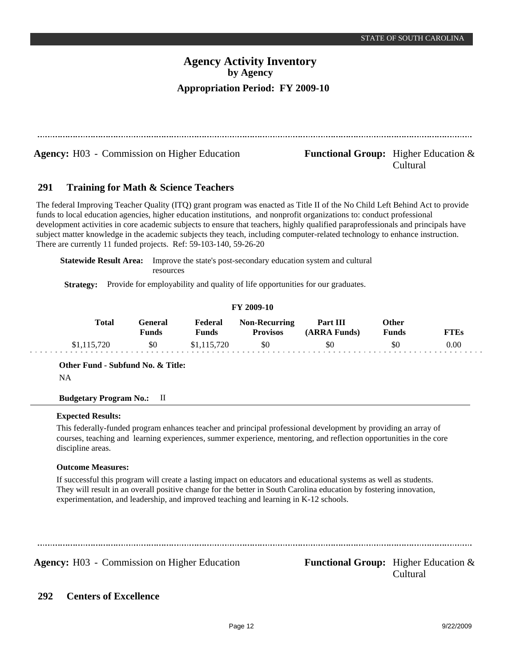| <b>Agency:</b> H03 - Commission on Higher Education                                                                              | <b>Functional Group:</b> Higher Education $\&$<br>Cultural |
|----------------------------------------------------------------------------------------------------------------------------------|------------------------------------------------------------|
| 291<br><b>Training for Math &amp; Science Teachers</b>                                                                           |                                                            |
| The federal Improving Teacher Quality (ITQ) grant program was enacted as Title II of the No Child Left Behind Act to provide     |                                                            |
| funds to local education agencies, higher education institutions, and nonprofit organizations to: conduct professional           |                                                            |
| development activities in core academic subjects to ensure that teachers, highly qualified paraprofessionals and principals have |                                                            |
| subject matter knowledge in the academic subjects they teach, including computer-related technology to enhance instruction.      |                                                            |
| There are currently 11 funded projects. Ref: 59-103-140, 59-26-20                                                                |                                                            |

**Statewide Result Area:** Improve the state's post-secondary education system and cultural resources

**Strategy:** Provide for employability and quality of life opportunities for our graduates.

## **FY 2009-10**

| Total       | General<br>Funds | Federal<br>Funds | <b>Non-Recurring</b><br><b>Provisos</b> | Part III<br>(ARRA Funds) | Other<br><b>Funds</b> | FTEs |
|-------------|------------------|------------------|-----------------------------------------|--------------------------|-----------------------|------|
| \$1,115,720 | \$0              | \$1,115,720      | \$0                                     | \$0                      | \$0                   | 0.00 |

**Other Fund - Subfund No. & Title:**

NA

## **Budgetary Program No.:** II

## **Expected Results:**

This federally-funded program enhances teacher and principal professional development by providing an array of courses, teaching and learning experiences, summer experience, mentoring, and reflection opportunities in the core discipline areas.

## **Outcome Measures:**

If successful this program will create a lasting impact on educators and educational systems as well as students. They will result in an overall positive change for the better in South Carolina education by fostering innovation, experimentation, and leadership, and improved teaching and learning in K-12 schools.

Agency: H03 - Commission on Higher Education Functional Group: Higher Education &

Cultural

#### **Centers of Excellence 292**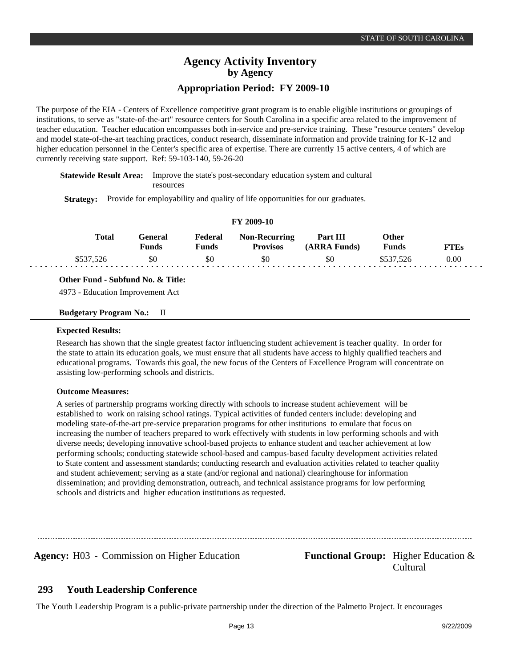The purpose of the EIA - Centers of Excellence competitive grant program is to enable eligible institutions or groupings of institutions, to serve as "state-of-the-art" resource centers for South Carolina in a specific area related to the improvement of teacher education. Teacher education encompasses both in-service and pre-service training. These "resource centers" develop and model state-of-the-art teaching practices, conduct research, disseminate information and provide training for K-12 and higher education personnel in the Center's specific area of expertise. There are currently 15 active centers, 4 of which are currently receiving state support. Ref: 59-103-140, 59-26-20

**Statewide Result Area:** Improve the state's post-secondary education system and cultural resources

**Strategy:** Provide for employability and quality of life opportunities for our graduates.

|           |                         |                  | FY 2009-10                              |                          |                       |             |  |
|-----------|-------------------------|------------------|-----------------------------------------|--------------------------|-----------------------|-------------|--|
| Total     | General<br><b>Funds</b> | Federal<br>Funds | <b>Non-Recurring</b><br><b>Provisos</b> | Part III<br>(ARRA Funds) | <b>Other</b><br>Funds | <b>FTEs</b> |  |
| \$537,526 | \$0                     | \$0              | \$0                                     | \$0                      | \$537.526             | 0.00        |  |

#### **Other Fund - Subfund No. & Title:**

4973 - Education Improvement Act

#### **Budgetary Program No.:** II

#### **Expected Results:**

Research has shown that the single greatest factor influencing student achievement is teacher quality. In order for the state to attain its education goals, we must ensure that all students have access to highly qualified teachers and educational programs. Towards this goal, the new focus of the Centers of Excellence Program will concentrate on assisting low-performing schools and districts.

#### **Outcome Measures:**

A series of partnership programs working directly with schools to increase student achievement will be established to work on raising school ratings. Typical activities of funded centers include: developing and modeling state-of-the-art pre-service preparation programs for other institutions to emulate that focus on increasing the number of teachers prepared to work effectively with students in low performing schools and with diverse needs; developing innovative school-based projects to enhance student and teacher achievement at low performing schools; conducting statewide school-based and campus-based faculty development activities related to State content and assessment standards; conducting research and evaluation activities related to teacher quality and student achievement; serving as a state (and/or regional and national) clearinghouse for information dissemination; and providing demonstration, outreach, and technical assistance programs for low performing schools and districts and higher education institutions as requested.

**Agency:** H03 - Commission on Higher Education **Functional Group:** Higher Education &

Cultural

#### **Youth Leadership Conference 293**

The Youth Leadership Program is a public-private partnership under the direction of the Palmetto Project. It encourages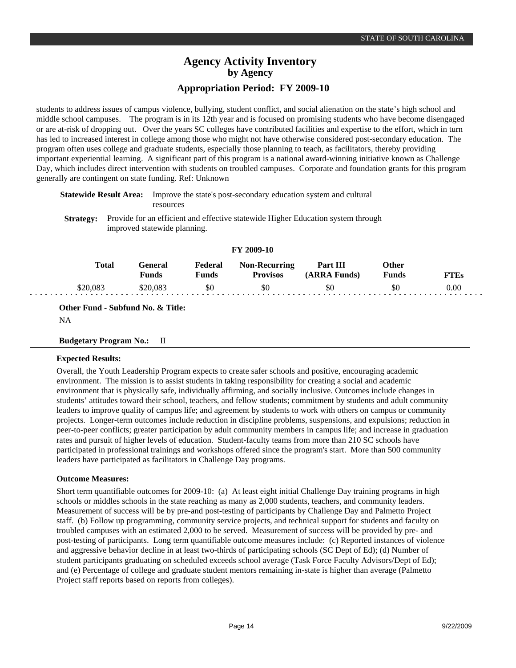students to address issues of campus violence, bullying, student conflict, and social alienation on the state's high school and middle school campuses. The program is in its 12th year and is focused on promising students who have become disengaged or are at-risk of dropping out. Over the years SC colleges have contributed facilities and expertise to the effort, which in turn has led to increased interest in college among those who might not have otherwise considered post-secondary education. The program often uses college and graduate students, especially those planning to teach, as facilitators, thereby providing important experiential learning. A significant part of this program is a national award-winning initiative known as Challenge Day, which includes direct intervention with students on troubled campuses. Corporate and foundation grants for this program generally are contingent on state funding. Ref: Unknown

**Statewide Result Area:** Improve the state's post-secondary education system and cultural resources

**Strategy:** Provide for an efficient and effective statewide Higher Education system through improved statewide planning.

|          |                  |                  | FY 2009-10                              |                          |                       |             |
|----------|------------------|------------------|-----------------------------------------|--------------------------|-----------------------|-------------|
| Total    | General<br>Funds | Federal<br>Funds | <b>Non-Recurring</b><br><b>Provisos</b> | Part III<br>(ARRA Funds) | Other<br><b>Funds</b> | <b>FTEs</b> |
| \$20,083 | \$20,083         | \$0              | \$0                                     | \$0                      | \$0                   | 0.00        |

**Other Fund - Subfund No. & Title:**

NA

#### **Budgetary Program No.:** II

#### **Expected Results:**

Overall, the Youth Leadership Program expects to create safer schools and positive, encouraging academic environment. The mission is to assist students in taking responsibility for creating a social and academic environment that is physically safe, individually affirming, and socially inclusive. Outcomes include changes in students' attitudes toward their school, teachers, and fellow students; commitment by students and adult community leaders to improve quality of campus life; and agreement by students to work with others on campus or community projects. Longer-term outcomes include reduction in discipline problems, suspensions, and expulsions; reduction in peer-to-peer conflicts; greater participation by adult community members in campus life; and increase in graduation rates and pursuit of higher levels of education. Student-faculty teams from more than 210 SC schools have participated in professional trainings and workshops offered since the program's start. More than 500 community leaders have participated as facilitators in Challenge Day programs.

#### **Outcome Measures:**

Short term quantifiable outcomes for 2009-10: (a) At least eight initial Challenge Day training programs in high schools or middles schools in the state reaching as many as 2,000 students, teachers, and community leaders. Measurement of success will be by pre-and post-testing of participants by Challenge Day and Palmetto Project staff. (b) Follow up programming, community service projects, and technical support for students and faculty on troubled campuses with an estimated 2,000 to be served. Measurement of success will be provided by pre- and post-testing of participants. Long term quantifiable outcome measures include: (c) Reported instances of violence and aggressive behavior decline in at least two-thirds of participating schools (SC Dept of Ed); (d) Number of student participants graduating on scheduled exceeds school average (Task Force Faculty Advisors/Dept of Ed); and (e) Percentage of college and graduate student mentors remaining in-state is higher than average (Palmetto Project staff reports based on reports from colleges).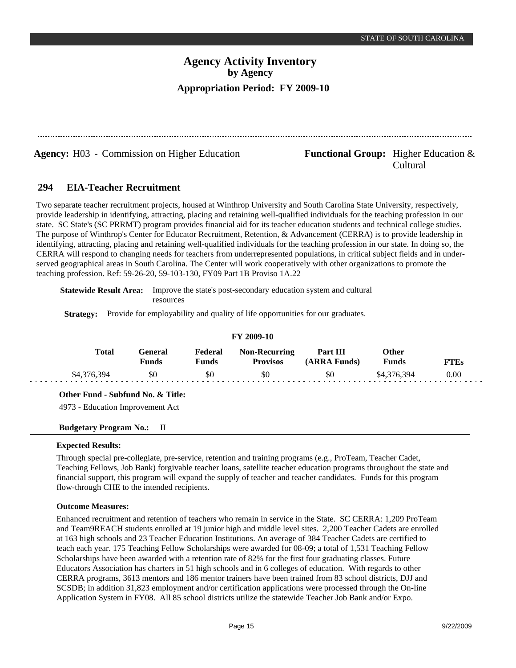**Agency:** H03 - Commission on Higher Education **Functional Group:** Higher Education &

Cultural

#### **EIA-Teacher Recruitment 294**

Two separate teacher recruitment projects, housed at Winthrop University and South Carolina State University, respectively, provide leadership in identifying, attracting, placing and retaining well-qualified individuals for the teaching profession in our state. SC State's (SC PRRMT) program provides financial aid for its teacher education students and technical college studies. The purpose of Winthrop's Center for Educator Recruitment, Retention, & Advancement (CERRA) is to provide leadership in identifying, attracting, placing and retaining well-qualified individuals for the teaching profession in our state. In doing so, the CERRA will respond to changing needs for teachers from underrepresented populations, in critical subject fields and in underserved geographical areas in South Carolina. The Center will work cooperatively with other organizations to promote the teaching profession. Ref: 59-26-20, 59-103-130, FY09 Part 1B Proviso 1A.22

**Statewide Result Area:** Improve the state's post-secondary education system and cultural resources

**Strategy:** Provide for employability and quality of life opportunities for our graduates.

| FY 2009-10  |                         |                  |                                         |                          |                |             |  |  |  |
|-------------|-------------------------|------------------|-----------------------------------------|--------------------------|----------------|-------------|--|--|--|
| Total       | General<br><b>Funds</b> | Federal<br>Funds | <b>Non-Recurring</b><br><b>Provisos</b> | Part III<br>(ARRA Funds) | Other<br>Funds | <b>FTEs</b> |  |  |  |
| \$4,376,394 | \$0                     | \$0              | \$0                                     | \$0                      | \$4,376,394    | 0.00        |  |  |  |

**Other Fund - Subfund No. & Title:**

4973 - Education Improvement Act

## **Budgetary Program No.:** II

## **Expected Results:**

Through special pre-collegiate, pre-service, retention and training programs (e.g., ProTeam, Teacher Cadet, Teaching Fellows, Job Bank) forgivable teacher loans, satellite teacher education programs throughout the state and financial support, this program will expand the supply of teacher and teacher candidates. Funds for this program flow-through CHE to the intended recipients.

## **Outcome Measures:**

Enhanced recruitment and retention of teachers who remain in service in the State. SC CERRA: 1,209 ProTeam and Team9REACH students enrolled at 19 junior high and middle level sites. 2,200 Teacher Cadets are enrolled at 163 high schools and 23 Teacher Education Institutions. An average of 384 Teacher Cadets are certified to teach each year. 175 Teaching Fellow Scholarships were awarded for 08-09; a total of 1,531 Teaching Fellow Scholarships have been awarded with a retention rate of 82% for the first four graduating classes. Future Educators Association has charters in 51 high schools and in 6 colleges of education. With regards to other CERRA programs, 3613 mentors and 186 mentor trainers have been trained from 83 school districts, DJJ and SCSDB; in addition 31,823 employment and/or certification applications were processed through the On-line Application System in FY08. All 85 school districts utilize the statewide Teacher Job Bank and/or Expo.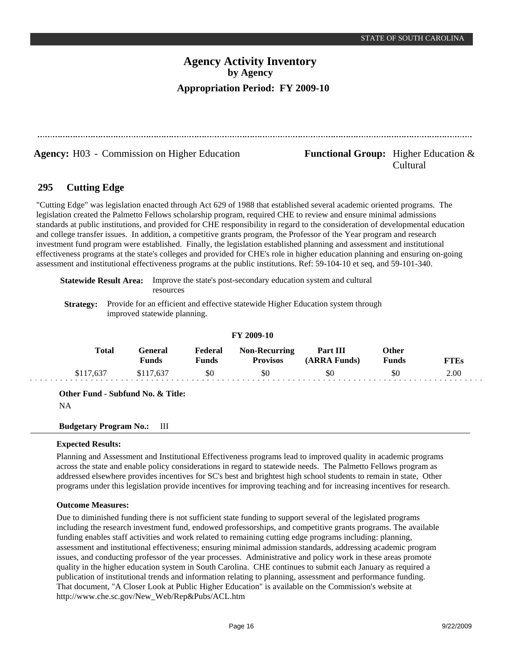**Agency:** H03 - Commission on Higher Education **Functional Group:** Higher Education &

# Cultural

#### **Cutting Edge 295**

"Cutting Edge" was legislation enacted through Act 629 of 1988 that established several academic oriented programs. The legislation created the Palmetto Fellows scholarship program, required CHE to review and ensure minimal admissions standards at public institutions, and provided for CHE responsibility in regard to the consideration of developmental education and college transfer issues. In addition, a competitive grants program, the Professor of the Year program and research investment fund program were established. Finally, the legislation established planning and assessment and institutional effectiveness programs at the state's colleges and provided for CHE's role in higher education planning and ensuring on-going assessment and institutional effectiveness programs at the public institutions. Ref: 59-104-10 et seq, and 59-101-340.

**Statewide Result Area:** Improve the state's post-secondary education system and cultural resources

**Strategy:** Provide for an efficient and effective statewide Higher Education system through improved statewide planning.

|  | FY 2009-10 |
|--|------------|
|--|------------|

| <b>Total</b> | -eneral<br><b>Funds</b> | Federal<br>Funds | <b>Non-Recurring</b><br><b>Provisos</b> | Part III<br><b>ARRA Funds)</b> | )ther<br><b>Funds</b> | TTEs |
|--------------|-------------------------|------------------|-----------------------------------------|--------------------------------|-----------------------|------|
|              |                         | \$0              | \$0                                     | \$0                            | \$0                   | 2.00 |

**Other Fund - Subfund No. & Title:**

NA

**Budgetary Program No.:** III

## **Expected Results:**

Planning and Assessment and Institutional Effectiveness programs lead to improved quality in academic programs across the state and enable policy considerations in regard to statewide needs. The Palmetto Fellows program as addressed elsewhere provides incentives for SC's best and brightest high school students to remain in state, Other programs under this legislation provide incentives for improving teaching and for increasing incentives for research.

## **Outcome Measures:**

Due to diminished funding there is not sufficient state funding to support several of the legislated programs including the research investment fund, endowed professorships, and competitive grants programs. The available funding enables staff activities and work related to remaining cutting edge programs including: planning, assessment and institutional effectiveness; ensuring minimal admission standards, addressing academic program issues, and conducting professor of the year processes. Administrative and policy work in these areas promote quality in the higher education system in South Carolina. CHE continues to submit each January as required a publication of institutional trends and information relating to planning, assessment and performance funding. That document, "A Closer Look at Public Higher Education" is available on the Commission's website at http://www.che.sc.gov/New\_Web/Rep&Pubs/ACL.htm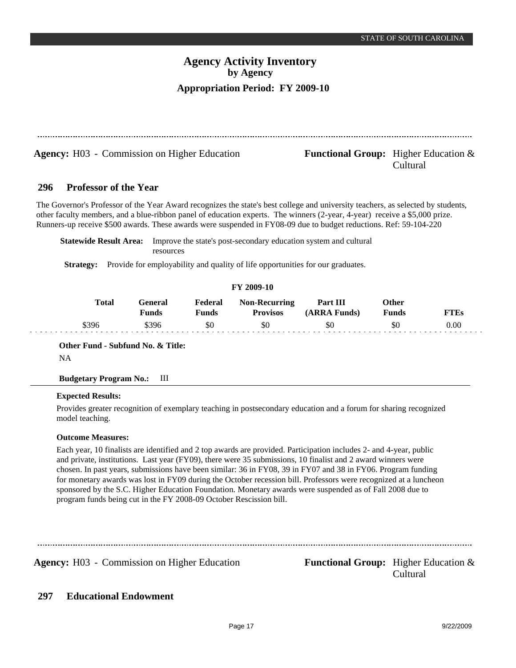|     | <b>Agency:</b> H03 - Commission on Higher Education |                                |                         |                                                                                | <b>Functional Group:</b> Higher Education $\&$                                                                                                                                                                                                                                                                                                                                                                                                          | Cultural                     |             |
|-----|-----------------------------------------------------|--------------------------------|-------------------------|--------------------------------------------------------------------------------|---------------------------------------------------------------------------------------------------------------------------------------------------------------------------------------------------------------------------------------------------------------------------------------------------------------------------------------------------------------------------------------------------------------------------------------------------------|------------------------------|-------------|
| 296 | <b>Professor of the Year</b>                        |                                |                         |                                                                                |                                                                                                                                                                                                                                                                                                                                                                                                                                                         |                              |             |
|     | <b>Statewide Result Area:</b>                       |                                |                         |                                                                                | The Governor's Professor of the Year Award recognizes the state's best college and university teachers, as selected by students,<br>other faculty members, and a blue-ribbon panel of education experts. The winners (2-year, 4-year) receive a \$5,000 prize.<br>Runners-up receive \$500 awards. These awards were suspended in FY08-09 due to budget reductions. Ref: 59-104-220<br>Improve the state's post-secondary education system and cultural |                              |             |
|     |                                                     | resources                      |                         |                                                                                |                                                                                                                                                                                                                                                                                                                                                                                                                                                         |                              |             |
|     | <b>Strategy:</b>                                    |                                |                         | Provide for employability and quality of life opportunities for our graduates. |                                                                                                                                                                                                                                                                                                                                                                                                                                                         |                              |             |
|     |                                                     |                                |                         | FY 2009-10                                                                     |                                                                                                                                                                                                                                                                                                                                                                                                                                                         |                              |             |
|     | <b>Total</b>                                        | <b>General</b><br><b>Funds</b> | Federal<br><b>Funds</b> | <b>Non-Recurring</b><br><b>Provisos</b>                                        | Part III<br>(ARRA Funds)                                                                                                                                                                                                                                                                                                                                                                                                                                | <b>Other</b><br><b>Funds</b> | <b>FTEs</b> |
|     |                                                     |                                |                         |                                                                                |                                                                                                                                                                                                                                                                                                                                                                                                                                                         |                              |             |

NA

## **Budgetary Program No.:** III

## **Expected Results:**

Provides greater recognition of exemplary teaching in postsecondary education and a forum for sharing recognized model teaching.

## **Outcome Measures:**

Each year, 10 finalists are identified and 2 top awards are provided. Participation includes 2- and 4-year, public and private, institutions. Last year (FY09), there were 35 submissions, 10 finalist and 2 award winners were chosen. In past years, submissions have been similar: 36 in FY08, 39 in FY07 and 38 in FY06. Program funding for monetary awards was lost in FY09 during the October recession bill. Professors were recognized at a luncheon sponsored by the S.C. Higher Education Foundation. Monetary awards were suspended as of Fall 2008 due to program funds being cut in the FY 2008-09 October Rescission bill.

Agency: H03 - Commission on Higher Education Functional Group: Higher Education &

Cultural

#### **Educational Endowment 297**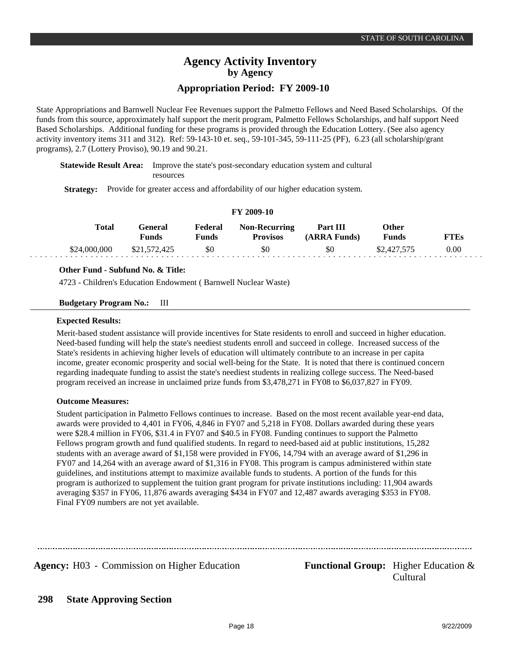# **Agency Activity Inventory by Agency**

## **Appropriation Period: FY 2009-10**

State Appropriations and Barnwell Nuclear Fee Revenues support the Palmetto Fellows and Need Based Scholarships. Of the funds from this source, approximately half support the merit program, Palmetto Fellows Scholarships, and half support Need Based Scholarships. Additional funding for these programs is provided through the Education Lottery. (See also agency activity inventory items 311 and 312). Ref: 59-143-10 et. seq., 59-101-345, 59-111-25 (PF), 6.23 (all scholarship/grant programs), 2.7 (Lottery Proviso), 90.19 and 90.21.

**Statewide Result Area:** Improve the state's post-secondary education system and cultural resources

**Strategy:** Provide for greater access and affordability of our higher education system.

#### **FY 2009-10**

| <b>Total</b> | General<br>Funds | Federal<br>Funds | <b>Non-Recurring</b><br><b>Provisos</b> | Part III<br>(ARRA Funds) | Other<br>Funds | <b>FTEs</b> |
|--------------|------------------|------------------|-----------------------------------------|--------------------------|----------------|-------------|
| \$24,000,000 | \$21,572,425     | \$0              | \$0                                     | \$0                      | \$2,427,575    | 0.00        |

#### **Other Fund - Subfund No. & Title:**

4723 - Children's Education Endowment ( Barnwell Nuclear Waste)

#### **Budgetary Program No.:** III

#### **Expected Results:**

Merit-based student assistance will provide incentives for State residents to enroll and succeed in higher education. Need-based funding will help the state's neediest students enroll and succeed in college. Increased success of the State's residents in achieving higher levels of education will ultimately contribute to an increase in per capita income, greater economic prosperity and social well-being for the State. It is noted that there is continued concern regarding inadequate funding to assist the state's neediest students in realizing college success. The Need-based program received an increase in unclaimed prize funds from \$3,478,271 in FY08 to \$6,037,827 in FY09.

#### **Outcome Measures:**

Student participation in Palmetto Fellows continues to increase. Based on the most recent available year-end data, awards were provided to 4,401 in FY06, 4,846 in FY07 and 5,218 in FY08. Dollars awarded during these years were \$28.4 million in FY06, \$31.4 in FY07 and \$40.5 in FY08. Funding continues to support the Palmetto Fellows program growth and fund qualified students. In regard to need-based aid at public institutions, 15,282 students with an average award of \$1,158 were provided in FY06, 14,794 with an average award of \$1,296 in FY07 and 14,264 with an average award of \$1,316 in FY08. This program is campus administered within state guidelines, and institutions attempt to maximize available funds to students. A portion of the funds for this program is authorized to supplement the tuition grant program for private institutions including: 11,904 awards averaging \$357 in FY06, 11,876 awards averaging \$434 in FY07 and 12,487 awards averaging \$353 in FY08. Final FY09 numbers are not yet available.

**Agency:** H03 - Commission on Higher Education **Functional Group:** Higher Education &

Cultural

#### **State Approving Section 298**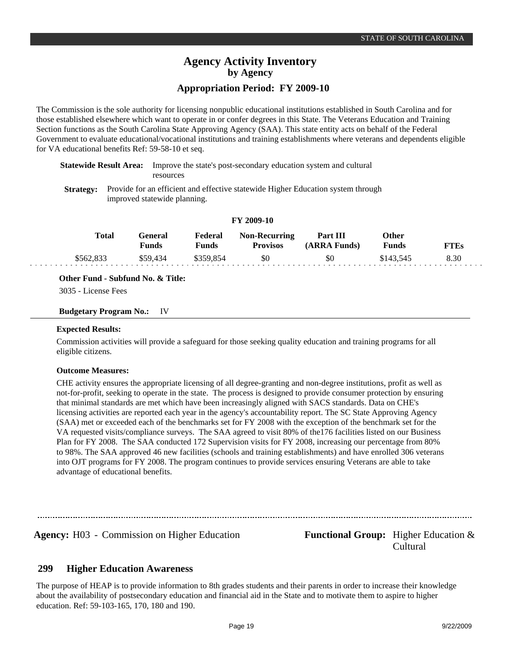The Commission is the sole authority for licensing nonpublic educational institutions established in South Carolina and for those established elsewhere which want to operate in or confer degrees in this State. The Veterans Education and Training Section functions as the South Carolina State Approving Agency (SAA). This state entity acts on behalf of the Federal Government to evaluate educational/vocational institutions and training establishments where veterans and dependents eligible for VA educational benefits Ref: 59-58-10 et seq.

## **Statewide Result Area:** Improve the state's post-secondary education system and cultural resources

**Strategy:** Provide for an efficient and effective statewide Higher Education system through improved statewide planning.

|           |                         |                  | 1 1 2002 10                             |                          |                              |             |
|-----------|-------------------------|------------------|-----------------------------------------|--------------------------|------------------------------|-------------|
| Total     | <b>General</b><br>Funds | Federal<br>Funds | <b>Non-Recurring</b><br><b>Provisos</b> | Part III<br>(ARRA Funds) | <b>Other</b><br><b>Funds</b> | <b>FTEs</b> |
| \$562.833 | \$59.434                | \$359.854        | \$0                                     | \$0                      | \$143.545                    | 8.30        |

**FY 2009-10**

## **Other Fund - Subfund No. & Title:**

3035 - License Fees

## **Budgetary Program No.:** IV

#### **Expected Results:**

Commission activities will provide a safeguard for those seeking quality education and training programs for all eligible citizens.

## **Outcome Measures:**

CHE activity ensures the appropriate licensing of all degree-granting and non-degree institutions, profit as well as not-for-profit, seeking to operate in the state. The process is designed to provide consumer protection by ensuring that minimal standards are met which have been increasingly aligned with SACS standards. Data on CHE's licensing activities are reported each year in the agency's accountability report. The SC State Approving Agency (SAA) met or exceeded each of the benchmarks set for FY 2008 with the exception of the benchmark set for the VA requested visits/compliance surveys. The SAA agreed to visit 80% of the176 facilities listed on our Business Plan for FY 2008. The SAA conducted 172 Supervision visits for FY 2008, increasing our percentage from 80% to 98%. The SAA approved 46 new facilities (schools and training establishments) and have enrolled 306 veterans into OJT programs for FY 2008. The program continues to provide services ensuring Veterans are able to take advantage of educational benefits.

Agency: H03 - Commission on Higher Education Functional Group: Higher Education & Cultural

#### **Higher Education Awareness 299**

The purpose of HEAP is to provide information to 8th grades students and their parents in order to increase their knowledge about the availability of postsecondary education and financial aid in the State and to motivate them to aspire to higher education. Ref: 59-103-165, 170, 180 and 190.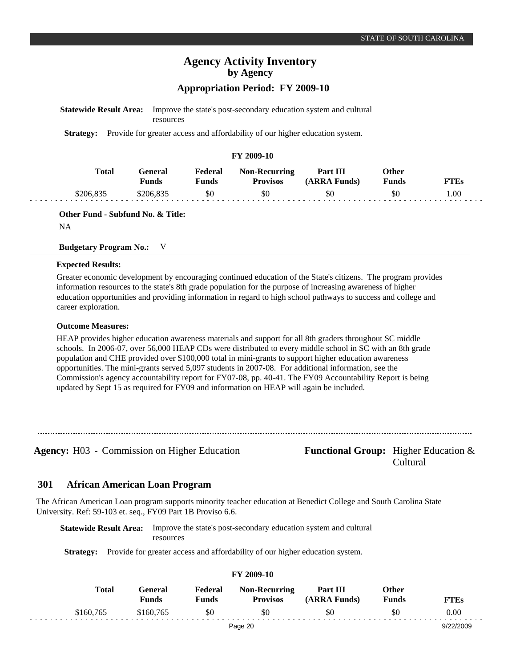**FTEs** 1.00

# **Agency Activity Inventory by Agency Appropriation Period: FY 2009-10**

| <b>Statewide Result Area:</b> | resources                      |                         |                                                                              | Improve the state's post-secondary education system and cultural |                              |
|-------------------------------|--------------------------------|-------------------------|------------------------------------------------------------------------------|------------------------------------------------------------------|------------------------------|
| <b>Strategy:</b>              |                                |                         | Provide for greater access and affordability of our higher education system. |                                                                  |                              |
|                               |                                |                         | FY 2009-10                                                                   |                                                                  |                              |
| <b>Total</b>                  | <b>General</b><br><b>Funds</b> | Federal<br><b>Funds</b> | <b>Non-Recurring</b><br><b>Provisos</b>                                      | Part III<br>(ARRA Funds)                                         | <b>Other</b><br><b>Funds</b> |
| \$206,835                     | \$206,835                      | \$0                     | \$0                                                                          | \$0                                                              | \$0                          |

**Other Fund - Subfund No. & Title:**

NA

#### **Budgetary Program No.:** V

#### **Expected Results:**

Greater economic development by encouraging continued education of the State's citizens. The program provides information resources to the state's 8th grade population for the purpose of increasing awareness of higher education opportunities and providing information in regard to high school pathways to success and college and career exploration.

#### **Outcome Measures:**

HEAP provides higher education awareness materials and support for all 8th graders throughout SC middle schools. In 2006-07, over 56,000 HEAP CDs were distributed to every middle school in SC with an 8th grade population and CHE provided over \$100,000 total in mini-grants to support higher education awareness opportunities. The mini-grants served 5,097 students in 2007-08. For additional information, see the Commission's agency accountability report for FY07-08, pp. 40-41. The FY09 Accountability Report is being updated by Sept 15 as required for FY09 and information on HEAP will again be included.

**Agency:** H03 - Commission on Higher Education **Functional Group:** Higher Education &

Cultural

#### **African American Loan Program 301**

The African American Loan program supports minority teacher education at Benedict College and South Carolina State University. Ref: 59-103 et. seq., FY09 Part 1B Proviso 6.6.

**Statewide Result Area:** Improve the state's post-secondary education system and cultural resources

**Strategy:** Provide for greater access and affordability of our higher education system.

| Total     | <b>General</b><br><b>Funds</b> | Federal<br><b>Funds</b> | <b>Non-Recurring</b><br><b>Provisos</b> | Part III<br>(ARRA Funds) | Other<br><b>Funds</b> | <b>FTEs</b> |
|-----------|--------------------------------|-------------------------|-----------------------------------------|--------------------------|-----------------------|-------------|
| \$160,765 | \$160,765                      | \$0                     | \$0                                     | \$0                      | \$0                   | 0.00        |
|           |                                |                         | Page 20                                 |                          |                       | 9/22/2009   |

**FY 2009-10**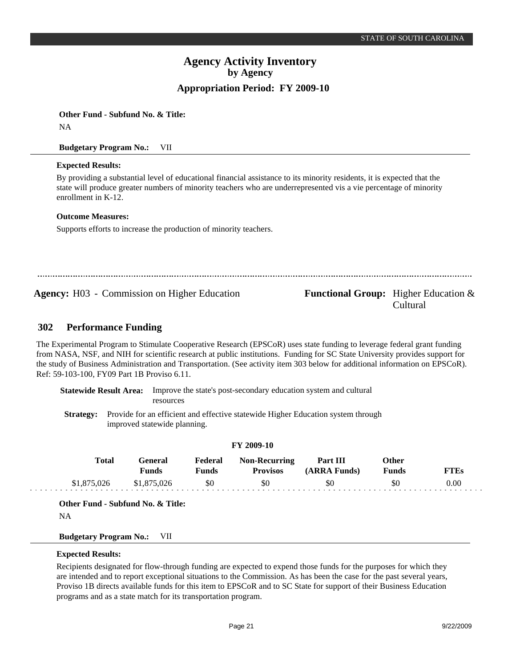**Other Fund - Subfund No. & Title:** NA

**Budgetary Program No.:** VII

## **Expected Results:**

By providing a substantial level of educational financial assistance to its minority residents, it is expected that the state will produce greater numbers of minority teachers who are underrepresented vis a vie percentage of minority enrollment in K-12.

## **Outcome Measures:**

Supports efforts to increase the production of minority teachers.

**Agency:** H03 - Commission on Higher Education **Functional Group:** Higher Education &

Cultural

#### **Performance Funding 302**

The Experimental Program to Stimulate Cooperative Research (EPSCoR) uses state funding to leverage federal grant funding from NASA, NSF, and NIH for scientific research at public institutions. Funding for SC State University provides support for the study of Business Administration and Transportation. (See activity item 303 below for additional information on EPSCoR). Ref: 59-103-100, FY09 Part 1B Proviso 6.11.

**Statewide Result Area:** Improve the state's post-secondary education system and cultural resources

**Strategy:** Provide for an efficient and effective statewide Higher Education system through improved statewide planning.

|             |                         |                         | <b>FY 2009-10</b>                |                          |                              |             |  |
|-------------|-------------------------|-------------------------|----------------------------------|--------------------------|------------------------------|-------------|--|
| Total       | General<br><b>Funds</b> | Federal<br><b>Funds</b> | Non-Recurring<br><b>Provisos</b> | Part III<br>(ARRA Funds) | <b>Other</b><br><b>Funds</b> | <b>FTEs</b> |  |
| \$1,875,026 | \$1,875,026             | \$0                     | \$0                              | \$0                      | \$0                          | 0.00        |  |

**Other Fund - Subfund No. & Title:**

NA

**Budgetary Program No.:** VII

## **Expected Results:**

Recipients designated for flow-through funding are expected to expend those funds for the purposes for which they are intended and to report exceptional situations to the Commission. As has been the case for the past several years, Proviso 1B directs available funds for this item to EPSCoR and to SC State for support of their Business Education programs and as a state match for its transportation program.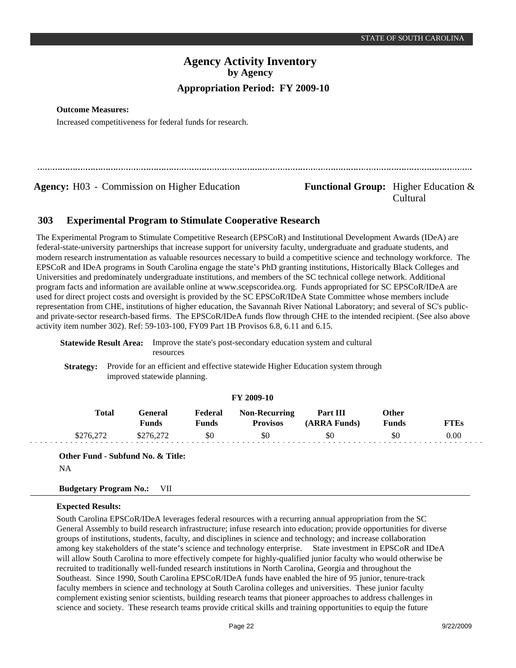#### **Outcome Measures:**

Increased competitiveness for federal funds for research.

**Agency:** H03 - Commission on Higher Education **Functional Group:** Higher Education &

# Cultural

#### **Experimental Program to Stimulate Cooperative Research 303**

The Experimental Program to Stimulate Competitive Research (EPSCoR) and Institutional Development Awards (IDeA) are federal-state-university partnerships that increase support for university faculty, undergraduate and graduate students, and modern research instrumentation as valuable resources necessary to build a competitive science and technology workforce. The EPSCoR and IDeA programs in South Carolina engage the state's PhD granting institutions, Historically Black Colleges and Universities and predominately undergraduate institutions, and members of the SC technical college network. Additional program facts and information are available online at www.scepscoridea.org. Funds appropriated for SC EPSCoR/IDeA are used for direct project costs and oversight is provided by the SC EPSCoR/IDeA State Committee whose members include representation from CHE, institutions of higher education, the Savannah River National Laboratory; and several of SC's publicand private-sector research-based firms. The EPSCoR/IDeA funds flow through CHE to the intended recipient. (See also above activity item number 302). Ref: 59-103-100, FY09 Part 1B Provisos 6.8, 6.11 and 6.15.

|  | <b>Statewide Result Area:</b> Improve the state's post-secondary education system and cultural |  |
|--|------------------------------------------------------------------------------------------------|--|
|  | resources                                                                                      |  |
|  | Stuates Provide for an officient and effective statewide Higher Education gystem through       |  |

**Strategy:** Provide for an efficient and effective statewide Higher Education system through improved statewide planning.

|              |                         |                  | FY 2009-10                              |                          |                              |             |
|--------------|-------------------------|------------------|-----------------------------------------|--------------------------|------------------------------|-------------|
| <b>Total</b> | <b>General</b><br>Funds | Federal<br>Funds | <b>Non-Recurring</b><br><b>Provisos</b> | Part III<br>(ARRA Funds) | <b>Other</b><br><b>Funds</b> | <b>FTEs</b> |
| \$276.272    | \$276.272               | \$0              | \$0                                     | \$0                      | \$0                          | 0.00        |

**Other Fund - Subfund No. & Title:**

NA

## **Budgetary Program No.:** VII

## **Expected Results:**

South Carolina EPSCoR/IDeA leverages federal resources with a recurring annual appropriation from the SC General Assembly to build research infrastructure; infuse research into education; provide opportunities for diverse groups of institutions, students, faculty, and disciplines in science and technology; and increase collaboration among key stakeholders of the state's science and technology enterprise. State investment in EPSCoR and IDeA will allow South Carolina to more effectively compete for highly-qualified junior faculty who would otherwise be recruited to traditionally well-funded research institutions in North Carolina, Georgia and throughout the Southeast. Since 1990, South Carolina EPSCoR/IDeA funds have enabled the hire of 95 junior, tenure-track faculty members in science and technology at South Carolina colleges and universities. These junior faculty complement existing senior scientists, building research teams that pioneer approaches to address challenges in science and society. These research teams provide critical skills and training opportunities to equip the future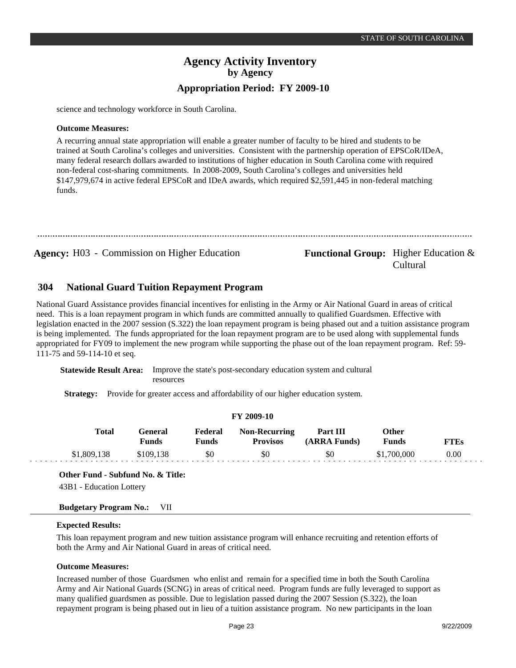science and technology workforce in South Carolina.

#### **Outcome Measures:**

A recurring annual state appropriation will enable a greater number of faculty to be hired and students to be trained at South Carolina's colleges and universities. Consistent with the partnership operation of EPSCoR/IDeA, many federal research dollars awarded to institutions of higher education in South Carolina come with required non-federal cost-sharing commitments. In 2008-2009, South Carolina's colleges and universities held \$147,979,674 in active federal EPSCoR and IDeA awards, which required \$2,591,445 in non-federal matching funds.

## **Agency:** H03 - Commission on Higher Education **Functional Group:** Higher Education & Cultural

#### **National Guard Tuition Repayment Program 304**

National Guard Assistance provides financial incentives for enlisting in the Army or Air National Guard in areas of critical need. This is a loan repayment program in which funds are committed annually to qualified Guardsmen. Effective with legislation enacted in the 2007 session (S.322) the loan repayment program is being phased out and a tuition assistance program is being implemented. The funds appropriated for the loan repayment program are to be used along with supplemental funds appropriated for FY09 to implement the new program while supporting the phase out of the loan repayment program. Ref: 59- 111-75 and 59-114-10 et seq.

**Statewide Result Area:** Improve the state's post-secondary education system and cultural resources

**Strategy:** Provide for greater access and affordability of our higher education system.

## **FY 2009-10**

| Total       | General<br><b>Funds</b> | Federal<br>Funds | <b>Non-Recurring</b><br><b>Provisos</b> | Part III<br>(ARRA Funds) | Other<br><b>Funds</b> | <b>FTEs</b> |  |
|-------------|-------------------------|------------------|-----------------------------------------|--------------------------|-----------------------|-------------|--|
| \$1,809,138 | \$109.138               | \$0              | \$0                                     | \$0                      | \$1,700,000           | 0.00        |  |

**Other Fund - Subfund No. & Title:**

43B1 - Education Lottery

#### **Budgetary Program No.:** VII

#### **Expected Results:**

and and a

This loan repayment program and new tuition assistance program will enhance recruiting and retention efforts of both the Army and Air National Guard in areas of critical need.

#### **Outcome Measures:**

Increased number of those Guardsmen who enlist and remain for a specified time in both the South Carolina Army and Air National Guards (SCNG) in areas of critical need. Program funds are fully leveraged to support as many qualified guardsmen as possible. Due to legislation passed during the 2007 Session (S.322), the loan repayment program is being phased out in lieu of a tuition assistance program. No new participants in the loan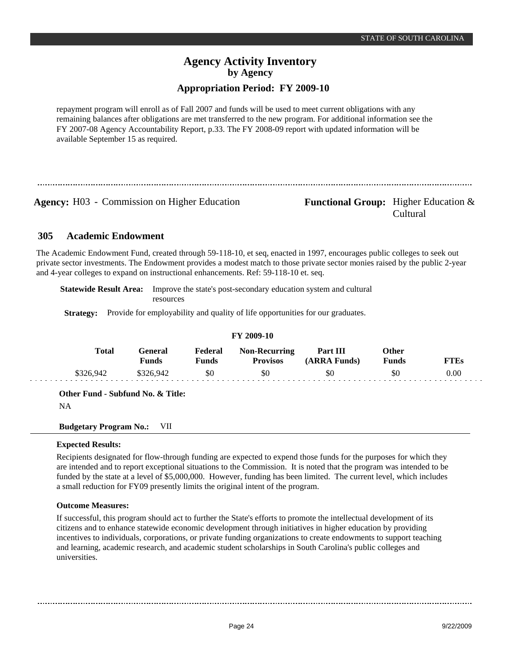# **Agency Activity Inventory by Agency**

## **Appropriation Period: FY 2009-10**

repayment program will enroll as of Fall 2007 and funds will be used to meet current obligations with any remaining balances after obligations are met transferred to the new program. For additional information see the FY 2007-08 Agency Accountability Report, p.33. The FY 2008-09 report with updated information will be available September 15 as required.

**Agency:** H03 - Commission on Higher Education **Functional Group:** Higher Education &

Cultural

#### **Academic Endowment 305**

The Academic Endowment Fund, created through 59-118-10, et seq, enacted in 1997, encourages public colleges to seek out private sector investments. The Endowment provides a modest match to those private sector monies raised by the public 2-year and 4-year colleges to expand on instructional enhancements. Ref: 59-118-10 et. seq.

**Statewide Result Area:** Improve the state's post-secondary education system and cultural resources

**Strategy:** Provide for employability and quality of life opportunities for our graduates.

## **FY 2009-10**

| Total    | Feneral<br>$F$ unds | Federal<br>Funds | <b>Non-Recurring</b><br><b>Provisos</b> | Part III<br>(ARRA Funds) | Other<br>Funds | TTEs |
|----------|---------------------|------------------|-----------------------------------------|--------------------------|----------------|------|
| 326,947ء | \$326,942           | \$0              | \$0                                     | \$0                      | \$0            | 0.00 |

**Other Fund - Subfund No. & Title:**

NA

**Budgetary Program No.:** VII

## **Expected Results:**

Recipients designated for flow-through funding are expected to expend those funds for the purposes for which they are intended and to report exceptional situations to the Commission. It is noted that the program was intended to be funded by the state at a level of \$5,000,000. However, funding has been limited. The current level, which includes a small reduction for FY09 presently limits the original intent of the program.

## **Outcome Measures:**

If successful, this program should act to further the State's efforts to promote the intellectual development of its citizens and to enhance statewide economic development through initiatives in higher education by providing incentives to individuals, corporations, or private funding organizations to create endowments to support teaching and learning, academic research, and academic student scholarships in South Carolina's public colleges and universities.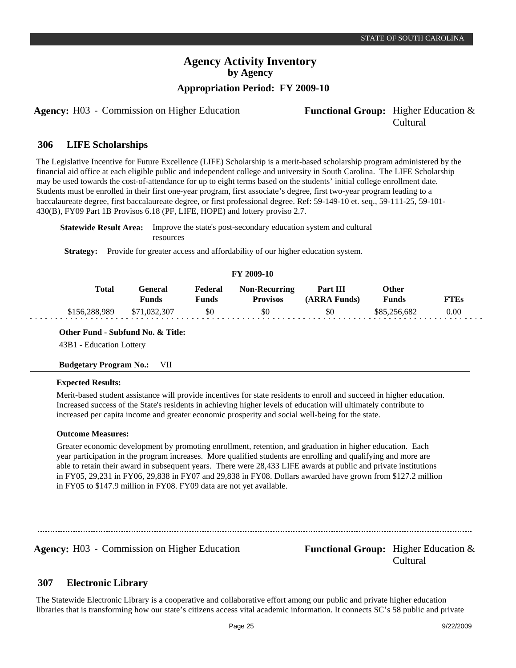**Agency:** H03 - Commission on Higher Education **Functional Group:** Higher Education &

#### **LIFE Scholarships 306**

The Legislative Incentive for Future Excellence (LIFE) Scholarship is a merit-based scholarship program administered by the financial aid office at each eligible public and independent college and university in South Carolina. The LIFE Scholarship may be used towards the cost-of-attendance for up to eight terms based on the students' initial college enrollment date. Students must be enrolled in their first one-year program, first associate's degree, first two-year program leading to a baccalaureate degree, first baccalaureate degree, or first professional degree. Ref: 59-149-10 et. seq., 59-111-25, 59-101- 430(B), FY09 Part 1B Provisos 6.18 (PF, LIFE, HOPE) and lottery proviso 2.7.

**Statewide Result Area:** Improve the state's post-secondary education system and cultural resources

**Strategy:** Provide for greater access and affordability of our higher education system.

#### **FY 2009-10**

| <b>Total</b>  | Feneral<br><b>Funds</b> | Federal<br>Funds | <b>Non-Recurring</b><br><b>Provisos</b> | Part III<br>(ARRA Funds) | Other<br>Funds | FTFs |
|---------------|-------------------------|------------------|-----------------------------------------|--------------------------|----------------|------|
| \$156,288,989 | \$71,032,307            | \$0              | \$0                                     | \$0                      | \$85,256,682   | 0.00 |

## **Other Fund - Subfund No. & Title:**

43B1 - Education Lottery

#### **Budgetary Program No.:** VII

#### **Expected Results:**

Merit-based student assistance will provide incentives for state residents to enroll and succeed in higher education. Increased success of the State's residents in achieving higher levels of education will ultimately contribute to increased per capita income and greater economic prosperity and social well-being for the state.

#### **Outcome Measures:**

Greater economic development by promoting enrollment, retention, and graduation in higher education. Each year participation in the program increases. More qualified students are enrolling and qualifying and more are able to retain their award in subsequent years. There were 28,433 LIFE awards at public and private institutions in FY05, 29,231 in FY06, 29,838 in FY07 and 29,838 in FY08. Dollars awarded have grown from \$127.2 million in FY05 to \$147.9 million in FY08. FY09 data are not yet available.

**Agency:** H03 - Commission on Higher Education **Functional Group:** Higher Education & Cultural

#### **Electronic Library 307**

The Statewide Electronic Library is a cooperative and collaborative effort among our public and private higher education libraries that is transforming how our state's citizens access vital academic information. It connects SC's 58 public and private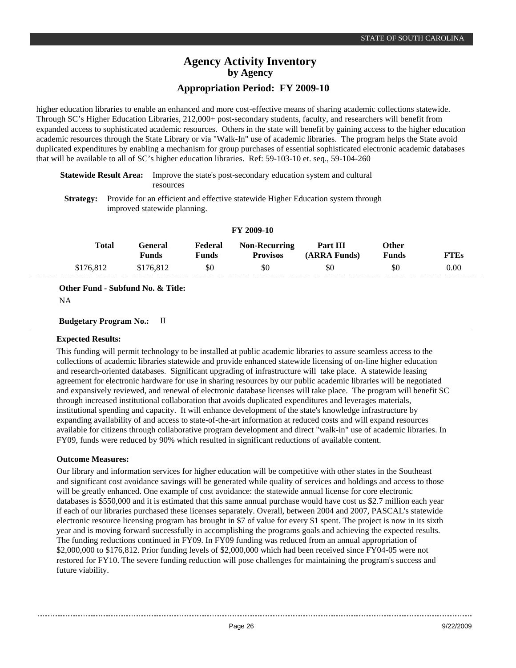higher education libraries to enable an enhanced and more cost-effective means of sharing academic collections statewide. Through SC's Higher Education Libraries, 212,000+ post-secondary students, faculty, and researchers will benefit from expanded access to sophisticated academic resources. Others in the state will benefit by gaining access to the higher education academic resources through the State Library or via "Walk-In" use of academic libraries. The program helps the State avoid duplicated expenditures by enabling a mechanism for group purchases of essential sophisticated electronic academic databases that will be available to all of SC's higher education libraries. Ref: 59-103-10 et. seq., 59-104-260

|           | <b>Statewide Result Area:</b> Improve the state's post-secondary education system and cultural |
|-----------|------------------------------------------------------------------------------------------------|
|           | <b>resources</b>                                                                               |
| Strategy. | Provide for an efficient and effective statewide Higher Education system through               |

**Strategy:** Provide for an efficient and effective statewide Higher Education system through improved statewide planning.

|           |                         |                  | $\sim$ $\sim$ $\sim$ $\sim$ $\sim$      |                          |                |      |
|-----------|-------------------------|------------------|-----------------------------------------|--------------------------|----------------|------|
| Total     | General<br><b>Funds</b> | Federal<br>Funds | <b>Non-Recurring</b><br><b>Provisos</b> | Part III<br>(ARRA Funds) | Other<br>Funds | FTEs |
| \$176.812 | \$176.812               | \$0              | \$0                                     | \$0                      | \$0            | 0.00 |
|           |                         |                  |                                         |                          |                |      |

**FY 2009-10**

**Other Fund - Subfund No. & Title:**

NA

**Budgetary Program No.:** II

## **Expected Results:**

This funding will permit technology to be installed at public academic libraries to assure seamless access to the collections of academic libraries statewide and provide enhanced statewide licensing of on-line higher education and research-oriented databases. Significant upgrading of infrastructure will take place. A statewide leasing agreement for electronic hardware for use in sharing resources by our public academic libraries will be negotiated and expansively reviewed, and renewal of electronic database licenses will take place. The program will benefit SC through increased institutional collaboration that avoids duplicated expenditures and leverages materials, institutional spending and capacity. It will enhance development of the state's knowledge infrastructure by expanding availability of and access to state-of-the-art information at reduced costs and will expand resources available for citizens through collaborative program development and direct "walk-in" use of academic libraries. In FY09, funds were reduced by 90% which resulted in significant reductions of available content.

## **Outcome Measures:**

Our library and information services for higher education will be competitive with other states in the Southeast and significant cost avoidance savings will be generated while quality of services and holdings and access to those will be greatly enhanced. One example of cost avoidance: the statewide annual license for core electronic databases is \$550,000 and it is estimated that this same annual purchase would have cost us \$2.7 million each year if each of our libraries purchased these licenses separately. Overall, between 2004 and 2007, PASCAL's statewide electronic resource licensing program has brought in \$7 of value for every \$1 spent. The project is now in its sixth year and is moving forward successfully in accomplishing the programs goals and achieving the expected results. The funding reductions continued in FY09. In FY09 funding was reduced from an annual appropriation of \$2,000,000 to \$176,812. Prior funding levels of \$2,000,000 which had been received since FY04-05 were not restored for FY10. The severe funding reduction will pose challenges for maintaining the program's success and future viability.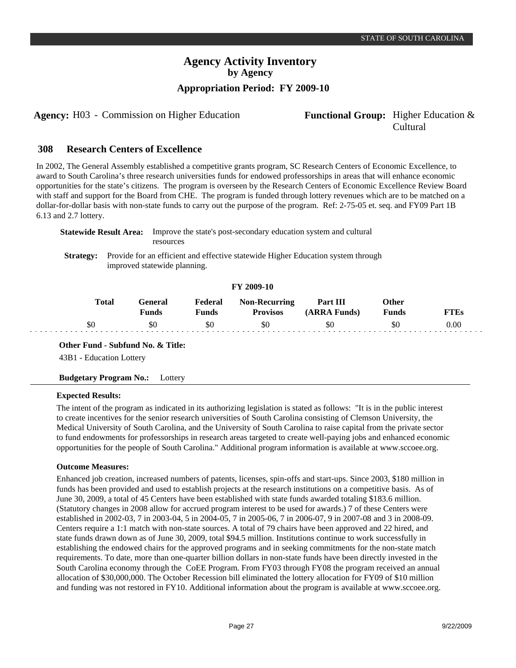**Agency:** H03 - Commission on Higher Education **Functional Group:** Higher Education &

#### **Research Centers of Excellence 308**

In 2002, The General Assembly established a competitive grants program, SC Research Centers of Economic Excellence, to award to South Carolina's three research universities funds for endowed professorships in areas that will enhance economic opportunities for the state's citizens. The program is overseen by the Research Centers of Economic Excellence Review Board with staff and support for the Board from CHE. The program is funded through lottery revenues which are to be matched on a dollar-for-dollar basis with non-state funds to carry out the purpose of the program. Ref: 2-75-05 et. seq. and FY09 Part 1B 6.13 and 2.7 lottery.

|           | Statewide Result Area: | Improve the state's post-secondary education system and cultural<br>resources                                    |
|-----------|------------------------|------------------------------------------------------------------------------------------------------------------|
| Strategy: |                        | Provide for an efficient and effective statewide Higher Education system through<br>improved statewide planning. |

## **FY 2009-10**

| Total | '÷eneral<br>Funds | Federal<br>Funds | <b>Non-Recurring</b><br><b>Provisos</b> | Part III<br>(ARRA Funds) | Other<br>Funds | . TF.c   |
|-------|-------------------|------------------|-----------------------------------------|--------------------------|----------------|----------|
| \$θ   | \$0               | \$0              | \$0                                     | \$0                      | \$0            | $0.00\,$ |

**Other Fund - Subfund No. & Title:**

43B1 - Education Lottery

## **Budgetary Program No.:** Lottery

## **Expected Results:**

والوالوا والوالو

The intent of the program as indicated in its authorizing legislation is stated as follows: "It is in the public interest to create incentives for the senior research universities of South Carolina consisting of Clemson University, the Medical University of South Carolina, and the University of South Carolina to raise capital from the private sector to fund endowments for professorships in research areas targeted to create well-paying jobs and enhanced economic opportunities for the people of South Carolina." Additional program information is available at www.sccoee.org.

## **Outcome Measures:**

Enhanced job creation, increased numbers of patents, licenses, spin-offs and start-ups. Since 2003, \$180 million in funds has been provided and used to establish projects at the research institutions on a competitive basis. As of June 30, 2009, a total of 45 Centers have been established with state funds awarded totaling \$183.6 million. (Statutory changes in 2008 allow for accrued program interest to be used for awards.) 7 of these Centers were established in 2002-03, 7 in 2003-04, 5 in 2004-05, 7 in 2005-06, 7 in 2006-07, 9 in 2007-08 and 3 in 2008-09. Centers require a 1:1 match with non-state sources. A total of 79 chairs have been approved and 22 hired, and state funds drawn down as of June 30, 2009, total \$94.5 million. Institutions continue to work successfully in establishing the endowed chairs for the approved programs and in seeking commitments for the non-state match requirements. To date, more than one-quarter billion dollars in non-state funds have been directly invested in the South Carolina economy through the CoEE Program. From FY03 through FY08 the program received an annual allocation of \$30,000,000. The October Recession bill eliminated the lottery allocation for FY09 of \$10 million and funding was not restored in FY10. Additional information about the program is available at www.sccoee.org.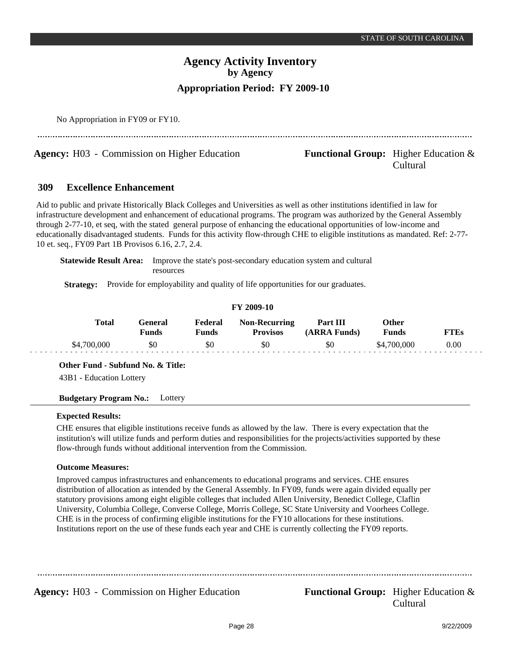Cultural

# **Agency Activity Inventory by Agency Appropriation Period: FY 2009-10**

No Appropriation in FY09 or FY10.

**Agency:** H03 - Commission on Higher Education **Functional Group:** Higher Education &

#### **Excellence Enhancement 309**

Aid to public and private Historically Black Colleges and Universities as well as other institutions identified in law for infrastructure development and enhancement of educational programs. The program was authorized by the General Assembly through 2-77-10, et seq, with the stated general purpose of enhancing the educational opportunities of low-income and educationally disadvantaged students. Funds for this activity flow-through CHE to eligible institutions as mandated. Ref: 2-77- 10 et. seq., FY09 Part 1B Provisos 6.16, 2.7, 2.4.

**Statewide Result Area:** Improve the state's post-secondary education system and cultural resources

**Strategy:** Provide for employability and quality of life opportunities for our graduates.

## **FY 2009-10**

| <b>Total</b> | General<br><b>Funds</b> | Federal<br>Funds | <b>Non-Recurring</b><br><b>Provisos</b> | Part III<br><b>ARRA Funds)</b> | Other<br>Funds | TTEs |
|--------------|-------------------------|------------------|-----------------------------------------|--------------------------------|----------------|------|
| \$4,700,000  | \$0                     | \$0              | \$0                                     | \$0                            | \$4,700,000    | 0.00 |

**Other Fund - Subfund No. & Title:**

43B1 - Education Lottery

**Budgetary Program No.:** Lottery

## **Expected Results:**

CHE ensures that eligible institutions receive funds as allowed by the law. There is every expectation that the institution's will utilize funds and perform duties and responsibilities for the projects/activities supported by these flow-through funds without additional intervention from the Commission.

## **Outcome Measures:**

Improved campus infrastructures and enhancements to educational programs and services. CHE ensures distribution of allocation as intended by the General Assembly. In FY09, funds were again divided equally per statutory provisions among eight eligible colleges that included Allen University, Benedict College, Claflin University, Columbia College, Converse College, Morris College, SC State University and Voorhees College. CHE is in the process of confirming eligible institutions for the FY10 allocations for these institutions. Institutions report on the use of these funds each year and CHE is currently collecting the FY09 reports.

**Agency:** H03 - Commission on Higher Education **Functional Group:** Higher Education &

Cultural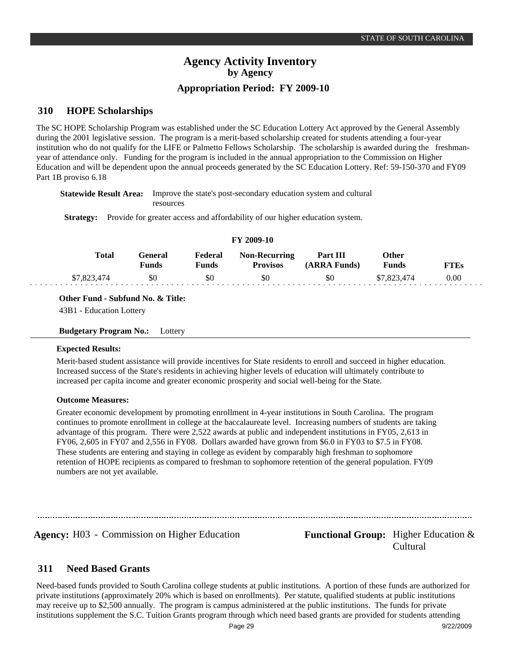#### **HOPE Scholarships 310**

The SC HOPE Scholarship Program was established under the SC Education Lottery Act approved by the General Assembly during the 2001 legislative session. The program is a merit-based scholarship created for students attending a four-year institution who do not qualify for the LIFE or Palmetto Fellows Scholarship. The scholarship is awarded during the freshmanyear of attendance only. Funding for the program is included in the annual appropriation to the Commission on Higher Education and will be dependent upon the annual proceeds generated by the SC Education Lottery. Ref: 59-150-370 and FY09 Part 1B proviso 6.18

**Statewide Result Area:** Improve the state's post-secondary education system and cultural resources

**Strategy:** Provide for greater access and affordability of our higher education system.

| FY 2009-10 |              |                  |                  |                                         |                          |                       |             |  |  |  |
|------------|--------------|------------------|------------------|-----------------------------------------|--------------------------|-----------------------|-------------|--|--|--|
|            | <b>Total</b> | General<br>Funds | Federal<br>Funds | <b>Non-Recurring</b><br><b>Provisos</b> | Part III<br>(ARRA Funds) | Other<br><b>Funds</b> | <b>FTEs</b> |  |  |  |
|            | \$7,823,474  | \$0              | \$0              | \$0                                     | \$0                      | \$7,823,474           | 0.00        |  |  |  |

**Other Fund - Subfund No. & Title:**

43B1 - Education Lottery

**Budgetary Program No.:** Lottery

#### **Expected Results:**

Merit-based student assistance will provide incentives for State residents to enroll and succeed in higher education. Increased success of the State's residents in achieving higher levels of education will ultimately contribute to increased per capita income and greater economic prosperity and social well-being for the State.

#### **Outcome Measures:**

Greater economic development by promoting enrollment in 4-year institutions in South Carolina. The program continues to promote enrollment in college at the baccalaureate level. Increasing numbers of students are taking advantage of this program. There were 2,522 awards at public and independent institutions in FY05, 2,613 in FY06, 2,605 in FY07 and 2,556 in FY08. Dollars awarded have grown from \$6.0 in FY03 to \$7.5 in FY08. These students are entering and staying in college as evident by comparably high freshman to sophomore retention of HOPE recipients as compared to freshman to sophomore retention of the general population. FY09 numbers are not yet available.

Agency: H03 - Commission on Higher Education Functional Group: Higher Education & Cultural

#### **Need Based Grants 311**

Need-based funds provided to South Carolina college students at public institutions. A portion of these funds are authorized for private institutions (approximately 20% which is based on enrollments). Per statute, qualified students at public institutions may receive up to \$2,500 annually. The program is campus administered at the public institutions. The funds for private institutions supplement the S.C. Tuition Grants program through which need based grants are provided for students attending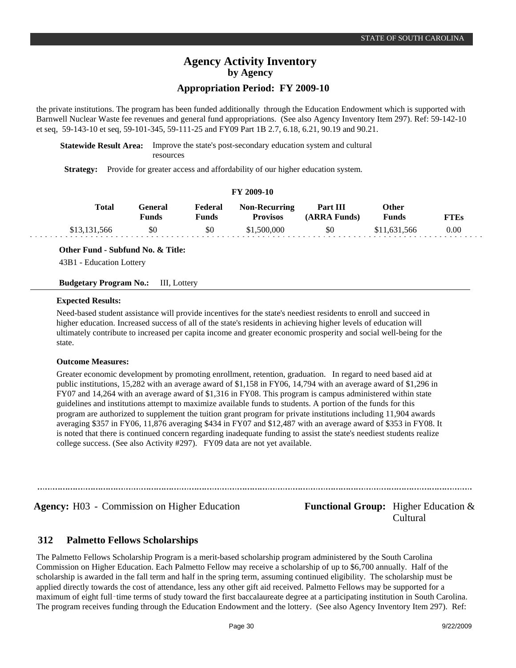# **Agency Activity Inventory by Agency**

## **Appropriation Period: FY 2009-10**

the private institutions. The program has been funded additionally through the Education Endowment which is supported with Barnwell Nuclear Waste fee revenues and general fund appropriations. (See also Agency Inventory Item 297). Ref: 59-142-10 et seq, 59-143-10 et seq, 59-101-345, 59-111-25 and FY09 Part 1B 2.7, 6.18, 6.21, 90.19 and 90.21.

**Statewide Result Area:** Improve the state's post-secondary education system and cultural resources

**Strategy:** Provide for greater access and affordability of our higher education system.

#### **FY 2009-10**

| Total        | General<br>Funds | Federal<br>Funds | <b>Non-Recurring</b><br><b>Provisos</b> | Part III<br>(ARRA Funds) | Other<br><b>Funds</b> | <b>FTEs</b> |
|--------------|------------------|------------------|-----------------------------------------|--------------------------|-----------------------|-------------|
| \$13.131.566 | \$0              | \$0              | \$1,500,000                             | \$0                      | \$11,631,566          | 0.00        |

## **Other Fund - Subfund No. & Title:**

43B1 - Education Lottery

#### **Budgetary Program No.:** III, Lottery

#### **Expected Results:**

Need-based student assistance will provide incentives for the state's neediest residents to enroll and succeed in higher education. Increased success of all of the state's residents in achieving higher levels of education will ultimately contribute to increased per capita income and greater economic prosperity and social well-being for the state.

#### **Outcome Measures:**

Greater economic development by promoting enrollment, retention, graduation. In regard to need based aid at public institutions, 15,282 with an average award of \$1,158 in FY06, 14,794 with an average award of \$1,296 in FY07 and 14,264 with an average award of \$1,316 in FY08. This program is campus administered within state guidelines and institutions attempt to maximize available funds to students. A portion of the funds for this program are authorized to supplement the tuition grant program for private institutions including 11,904 awards averaging \$357 in FY06, 11,876 averaging \$434 in FY07 and \$12,487 with an average award of \$353 in FY08. It is noted that there is continued concern regarding inadequate funding to assist the state's neediest students realize college success. (See also Activity #297). FY09 data are not yet available.

## **Agency:** H03 - Commission on Higher Education **Functional Group:** Higher Education & Cultural

#### **Palmetto Fellows Scholarships 312**

The Palmetto Fellows Scholarship Program is a merit-based scholarship program administered by the South Carolina Commission on Higher Education. Each Palmetto Fellow may receive a scholarship of up to \$6,700 annually. Half of the scholarship is awarded in the fall term and half in the spring term, assuming continued eligibility. The scholarship must be applied directly towards the cost of attendance, less any other gift aid received. Palmetto Fellows may be supported for a maximum of eight full-time terms of study toward the first baccalaureate degree at a participating institution in South Carolina. The program receives funding through the Education Endowment and the lottery. (See also Agency Inventory Item 297). Ref: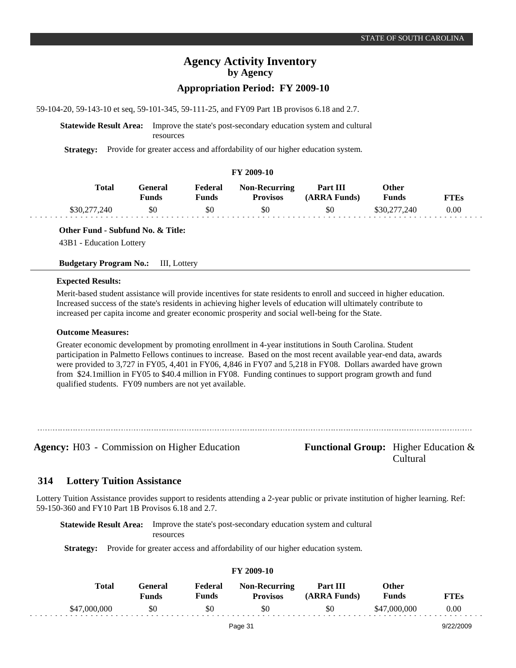# **Agency Activity Inventory by Agency**

## **Appropriation Period: FY 2009-10**

59-104-20, 59-143-10 et seq, 59-101-345, 59-111-25, and FY09 Part 1B provisos 6.18 and 2.7.

**Statewide Result Area:** Improve the state's post-secondary education system and cultural resources

**Strategy:** Provide for greater access and affordability of our higher education system.

## **FY 2009-10**

| Total        | General)<br>Funds | Federal<br>Funds | <b>Non-Recurring</b><br><b>Provisos</b> | Part III<br>(ARRA Funds) | Other<br><b>Funds</b> | <b>FTEs</b> |
|--------------|-------------------|------------------|-----------------------------------------|--------------------------|-----------------------|-------------|
| \$30,277,240 | \$0               | \$0              | \$0                                     | \$0                      | \$30,277,240          | 0.00        |

**Other Fund - Subfund No. & Title:**

43B1 - Education Lottery

**Budgetary Program No.:** III, Lottery

#### **Expected Results:**

Merit-based student assistance will provide incentives for state residents to enroll and succeed in higher education. Increased success of the state's residents in achieving higher levels of education will ultimately contribute to increased per capita income and greater economic prosperity and social well-being for the State.

#### **Outcome Measures:**

Greater economic development by promoting enrollment in 4-year institutions in South Carolina. Student participation in Palmetto Fellows continues to increase. Based on the most recent available year-end data, awards were provided to 3,727 in FY05, 4,401 in FY06, 4,846 in FY07 and 5,218 in FY08. Dollars awarded have grown from \$24.1million in FY05 to \$40.4 million in FY08. Funding continues to support program growth and fund qualified students. FY09 numbers are not yet available.

**Agency:** H03 - Commission on Higher Education **Functional Group:** Higher Education &

Cultural

#### **Lottery Tuition Assistance 314**

Lottery Tuition Assistance provides support to residents attending a 2-year public or private institution of higher learning. Ref: 59-150-360 and FY10 Part 1B Provisos 6.18 and 2.7.

**Statewide Result Area:** Improve the state's post-secondary education system and cultural resources

**Strategy:** Provide for greater access and affordability of our higher education system.

|              |                                |                         | 1 1 2002 10                             |                          |                       |             |  |
|--------------|--------------------------------|-------------------------|-----------------------------------------|--------------------------|-----------------------|-------------|--|
| Total        | <b>General</b><br><b>Funds</b> | Federal<br><b>Funds</b> | <b>Non-Recurring</b><br><b>Provisos</b> | Part III<br>(ARRA Funds) | Other<br><b>Funds</b> | <b>FTEs</b> |  |
| \$47,000,000 | \$0                            | \$0                     | \$0                                     | \$0                      | \$47,000,000          | 0.00        |  |
|              |                                |                         | Page 31                                 |                          |                       | 9/22/2009   |  |

**FY 2009-10**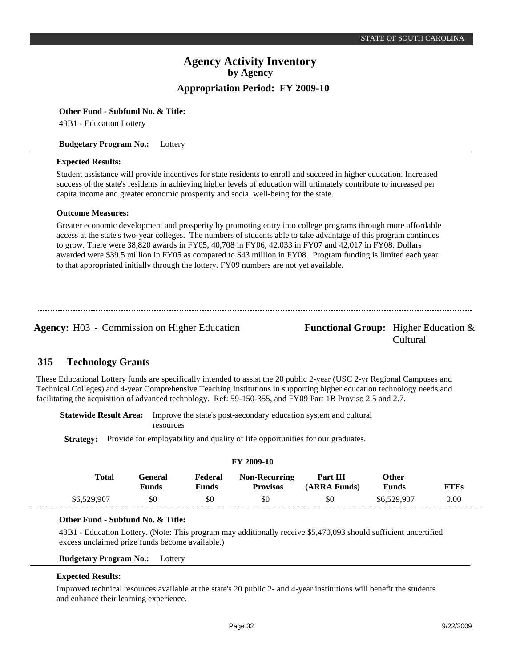#### **Other Fund - Subfund No. & Title:**

43B1 - Education Lottery

#### **Budgetary Program No.:** Lottery

#### **Expected Results:**

Student assistance will provide incentives for state residents to enroll and succeed in higher education. Increased success of the state's residents in achieving higher levels of education will ultimately contribute to increased per capita income and greater economic prosperity and social well-being for the state.

#### **Outcome Measures:**

Greater economic development and prosperity by promoting entry into college programs through more affordable access at the state's two-year colleges. The numbers of students able to take advantage of this program continues to grow. There were 38,820 awards in FY05, 40,708 in FY06, 42,033 in FY07 and 42,017 in FY08. Dollars awarded were \$39.5 million in FY05 as compared to \$43 million in FY08. Program funding is limited each year to that appropriated initially through the lottery. FY09 numbers are not yet available.

**Agency:** H03 - Commission on Higher Education **Functional Group:** Higher Education &

Cultural

#### **Technology Grants 315**

These Educational Lottery funds are specifically intended to assist the 20 public 2-year (USC 2-yr Regional Campuses and Technical Colleges) and 4-year Comprehensive Teaching Institutions in supporting higher education technology needs and facilitating the acquisition of advanced technology. Ref: 59-150-355, and FY09 Part 1B Proviso 2.5 and 2.7.

**Statewide Result Area:** Improve the state's post-secondary education system and cultural resources

**Strategy:** Provide for employability and quality of life opportunities for our graduates.

| <b>FY 2009-10</b> |              |                         |                  |                                         |                          |                       |      |  |  |  |
|-------------------|--------------|-------------------------|------------------|-----------------------------------------|--------------------------|-----------------------|------|--|--|--|
|                   | <b>Total</b> | General<br><b>Funds</b> | Federal<br>Funds | <b>Non-Recurring</b><br><b>Provisos</b> | Part III<br>(ARRA Funds) | Other<br><b>Funds</b> | FTEs |  |  |  |
|                   | \$6,529,907  | \$0                     | \$0              | \$0                                     | \$0                      | \$6,529,907           | 0.00 |  |  |  |

## **Other Fund - Subfund No. & Title:**

43B1 - Education Lottery. (Note: This program may additionally receive \$5,470,093 should sufficient uncertified excess unclaimed prize funds become available.)

**Budgetary Program No.:** Lottery

#### **Expected Results:**

Improved technical resources available at the state's 20 public 2- and 4-year institutions will benefit the students and enhance their learning experience.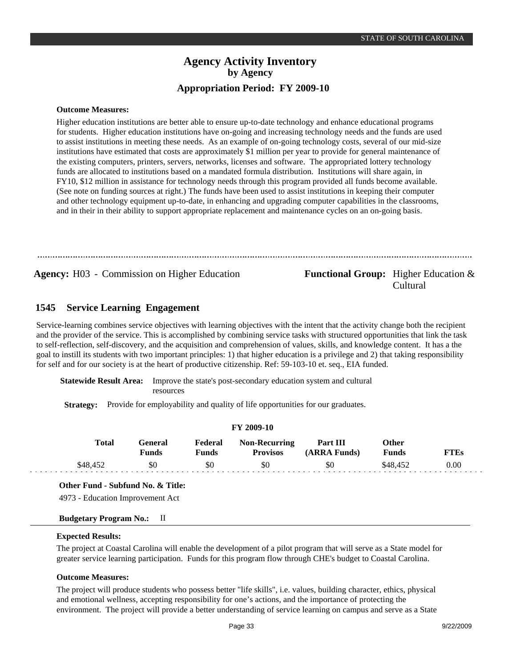#### **Outcome Measures:**

Higher education institutions are better able to ensure up-to-date technology and enhance educational programs for students. Higher education institutions have on-going and increasing technology needs and the funds are used to assist institutions in meeting these needs. As an example of on-going technology costs, several of our mid-size institutions have estimated that costs are approximately \$1 million per year to provide for general maintenance of the existing computers, printers, servers, networks, licenses and software. The appropriated lottery technology funds are allocated to institutions based on a mandated formula distribution. Institutions will share again, in FY10, \$12 million in assistance for technology needs through this program provided all funds become available. (See note on funding sources at right.) The funds have been used to assist institutions in keeping their computer and other technology equipment up-to-date, in enhancing and upgrading computer capabilities in the classrooms, and in their in their ability to support appropriate replacement and maintenance cycles on an on-going basis.

**Agency:** H03 - Commission on Higher Education **Functional Group:** Higher Education &

# Cultural

#### **Service Learning Engagement 1545**

Service-learning combines service objectives with learning objectives with the intent that the activity change both the recipient and the provider of the service. This is accomplished by combining service tasks with structured opportunities that link the task to self-reflection, self-discovery, and the acquisition and comprehension of values, skills, and knowledge content. It has a the goal to instill its students with two important principles: 1) that higher education is a privilege and 2) that taking responsibility for self and for our society is at the heart of productive citizenship. Ref: 59-103-10 et. seq., EIA funded.

**FY 2009-10**

**Statewide Result Area:** Improve the state's post-secondary education system and cultural resources

**Strategy:** Provide for employability and quality of life opportunities for our graduates.

|              | FY 2009-10       |                  |                                         |                          |                              |             |  |  |  |  |  |
|--------------|------------------|------------------|-----------------------------------------|--------------------------|------------------------------|-------------|--|--|--|--|--|
| <b>Total</b> | General<br>Funds | Federal<br>Funds | <b>Non-Recurring</b><br><b>Provisos</b> | Part III<br>(ARRA Funds) | <b>Other</b><br><b>Funds</b> | <b>FTEs</b> |  |  |  |  |  |
| \$48,452     | \$0              | \$0              | \$0                                     | \$0                      | \$48,452                     | 0.00        |  |  |  |  |  |

**Other Fund - Subfund No. & Title:**

4973 - Education Improvement Act

## **Budgetary Program No.:** II

#### **Expected Results:**

The project at Coastal Carolina will enable the development of a pilot program that will serve as a State model for greater service learning participation. Funds for this program flow through CHE's budget to Coastal Carolina.

#### **Outcome Measures:**

The project will produce students who possess better "life skills", i.e. values, building character, ethics, physical and emotional wellness, accepting responsibility for one's actions, and the importance of protecting the environment. The project will provide a better understanding of service learning on campus and serve as a State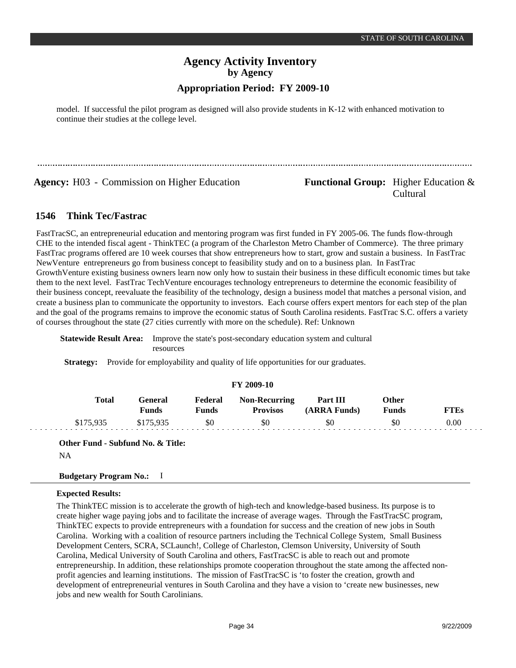model. If successful the pilot program as designed will also provide students in K-12 with enhanced motivation to continue their studies at the college level.

**Agency:** H03 - Commission on Higher Education **Functional Group:** Higher Education &

# Cultural

#### **Think Tec/Fastrac 1546**

FastTracSC, an entrepreneurial education and mentoring program was first funded in FY 2005-06. The funds flow-through CHE to the intended fiscal agent - ThinkTEC (a program of the Charleston Metro Chamber of Commerce). The three primary FastTrac programs offered are 10 week courses that show entrepreneurs how to start, grow and sustain a business. In FastTrac NewVenture entrepreneurs go from business concept to feasibility study and on to a business plan. In FastTrac GrowthVenture existing business owners learn now only how to sustain their business in these difficult economic times but take them to the next level. FastTrac TechVenture encourages technology entrepreneurs to determine the economic feasibility of their business concept, reevaluate the feasibility of the technology, design a business model that matches a personal vision, and create a business plan to communicate the opportunity to investors. Each course offers expert mentors for each step of the plan and the goal of the programs remains to improve the economic status of South Carolina residents. FastTrac S.C. offers a variety of courses throughout the state (27 cities currently with more on the schedule). Ref: Unknown

**Statewide Result Area:** Improve the state's post-secondary education system and cultural resources

**Strategy:** Provide for employability and quality of life opportunities for our graduates.

| .         |                         |                  |                                         |                          |                       |             |  |  |  |  |
|-----------|-------------------------|------------------|-----------------------------------------|--------------------------|-----------------------|-------------|--|--|--|--|
| Total     | General<br><b>Funds</b> | Federal<br>Funds | <b>Non-Recurring</b><br><b>Provisos</b> | Part III<br>(ARRA Funds) | <b>Other</b><br>Funds | <b>FTEs</b> |  |  |  |  |
| \$175,935 | \$175,935               | \$0              | \$0                                     | \$0                      | \$0                   | 0.00        |  |  |  |  |

**FY 2009-10**

**Other Fund - Subfund No. & Title:**

NA

## **Budgetary Program No.:** I

## **Expected Results:**

The ThinkTEC mission is to accelerate the growth of high-tech and knowledge-based business. Its purpose is to create higher wage paying jobs and to facilitate the increase of average wages. Through the FastTracSC program, ThinkTEC expects to provide entrepreneurs with a foundation for success and the creation of new jobs in South Carolina. Working with a coalition of resource partners including the Technical College System, Small Business Development Centers, SCRA, SCLaunch!, College of Charleston, Clemson University, University of South Carolina, Medical University of South Carolina and others, FastTracSC is able to reach out and promote entrepreneurship. In addition, these relationships promote cooperation throughout the state among the affected nonprofit agencies and learning institutions. The mission of FastTracSC is 'to foster the creation, growth and development of entrepreneurial ventures in South Carolina and they have a vision to 'create new businesses, new jobs and new wealth for South Carolinians.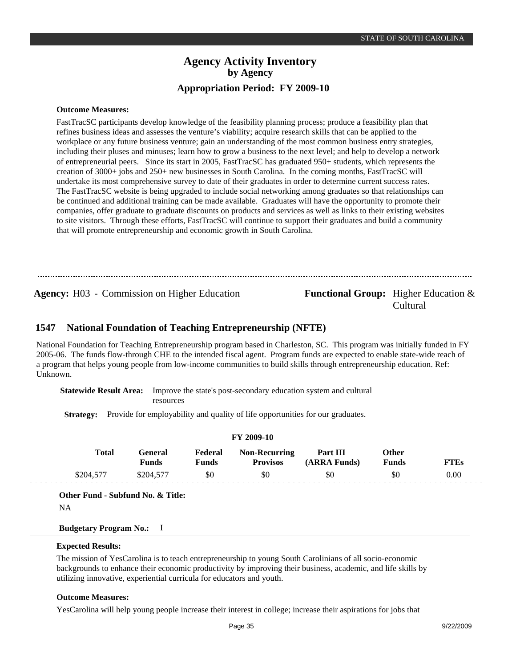#### **Outcome Measures:**

FastTracSC participants develop knowledge of the feasibility planning process; produce a feasibility plan that refines business ideas and assesses the venture's viability; acquire research skills that can be applied to the workplace or any future business venture; gain an understanding of the most common business entry strategies, including their pluses and minuses; learn how to grow a business to the next level; and help to develop a network of entrepreneurial peers. Since its start in 2005, FastTracSC has graduated 950+ students, which represents the creation of 3000+ jobs and 250+ new businesses in South Carolina. In the coming months, FastTracSC will undertake its most comprehensive survey to date of their graduates in order to determine current success rates. The FastTracSC website is being upgraded to include social networking among graduates so that relationships can be continued and additional training can be made available. Graduates will have the opportunity to promote their companies, offer graduate to graduate discounts on products and services as well as links to their existing websites to site visitors. Through these efforts, FastTracSC will continue to support their graduates and build a community that will promote entrepreneurship and economic growth in South Carolina.

**Agency:** H03 - Commission on Higher Education **Functional Group:** Higher Education &

Cultural

#### **National Foundation of Teaching Entrepreneurship (NFTE) 1547**

National Foundation for Teaching Entrepreneurship program based in Charleston, SC. This program was initially funded in FY 2005-06. The funds flow-through CHE to the intended fiscal agent. Program funds are expected to enable state-wide reach of a program that helps young people from low-income communities to build skills through entrepreneurship education. Ref: Unknown.

**Statewide Result Area:** Improve the state's post-secondary education system and cultural resources

**Strategy:** Provide for employability and quality of life opportunities for our graduates.

| F I 2009-10 |           |                         |                         |                                         |                          |                       |             |  |  |  |
|-------------|-----------|-------------------------|-------------------------|-----------------------------------------|--------------------------|-----------------------|-------------|--|--|--|
|             | Total     | General<br><b>Funds</b> | Federal<br><b>Funds</b> | <b>Non-Recurring</b><br><b>Provisos</b> | Part III<br>(ARRA Funds) | Other<br><b>Funds</b> | <b>FTEs</b> |  |  |  |
|             | \$204,577 | \$204,577               | \$0                     | \$0                                     | \$0                      | \$0                   | 0.00        |  |  |  |

**FY 2009-10**

**Other Fund - Subfund No. & Title:**

NA

#### **Budgetary Program No.:** I

#### **Expected Results:**

The mission of YesCarolina is to teach entrepreneurship to young South Carolinians of all socio-economic backgrounds to enhance their economic productivity by improving their business, academic, and life skills by utilizing innovative, experiential curricula for educators and youth.

#### **Outcome Measures:**

YesCarolina will help young people increase their interest in college; increase their aspirations for jobs that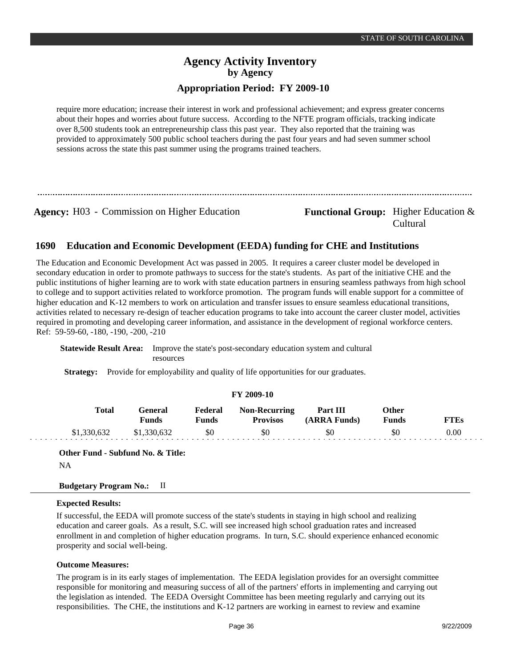require more education; increase their interest in work and professional achievement; and express greater concerns about their hopes and worries about future success. According to the NFTE program officials, tracking indicate over 8,500 students took an entrepreneurship class this past year. They also reported that the training was provided to approximately 500 public school teachers during the past four years and had seven summer school sessions across the state this past summer using the programs trained teachers.

**Agency:** H03 - Commission on Higher Education **Functional Group:** Higher Education &

Cultural

#### **Education and Economic Development (EEDA) funding for CHE and Institutions 1690**

The Education and Economic Development Act was passed in 2005. It requires a career cluster model be developed in secondary education in order to promote pathways to success for the state's students. As part of the initiative CHE and the public institutions of higher learning are to work with state education partners in ensuring seamless pathways from high school to college and to support activities related to workforce promotion. The program funds will enable support for a committee of higher education and K-12 members to work on articulation and transfer issues to ensure seamless educational transitions, activities related to necessary re-design of teacher education programs to take into account the career cluster model, activities required in promoting and developing career information, and assistance in the development of regional workforce centers. Ref: 59-59-60, -180, -190, -200, -210

**Statewide Result Area:** Improve the state's post-secondary education system and cultural resources

**Strategy:** Provide for employability and quality of life opportunities for our graduates.

| <b>FY 2009-10</b> |                         |                         |                                         |                          |                              |             |  |  |  |  |  |
|-------------------|-------------------------|-------------------------|-----------------------------------------|--------------------------|------------------------------|-------------|--|--|--|--|--|
| Total             | General<br><b>Funds</b> | Federal<br><b>Funds</b> | <b>Non-Recurring</b><br><b>Provisos</b> | Part III<br>(ARRA Funds) | <b>Other</b><br><b>Funds</b> | <b>FTEs</b> |  |  |  |  |  |
| \$1,330,632       | \$1,330,632             | \$0                     | \$0                                     | \$0                      | \$0                          | 0.00        |  |  |  |  |  |

**Other Fund - Subfund No. & Title:** NA

## **Budgetary Program No.:** II

#### **Expected Results:**

If successful, the EEDA will promote success of the state's students in staying in high school and realizing education and career goals. As a result, S.C. will see increased high school graduation rates and increased enrollment in and completion of higher education programs. In turn, S.C. should experience enhanced economic prosperity and social well-being.

#### **Outcome Measures:**

The program is in its early stages of implementation. The EEDA legislation provides for an oversight committee responsible for monitoring and measuring success of all of the partners' efforts in implementing and carrying out the legislation as intended. The EEDA Oversight Committee has been meeting regularly and carrying out its responsibilities. The CHE, the institutions and K-12 partners are working in earnest to review and examine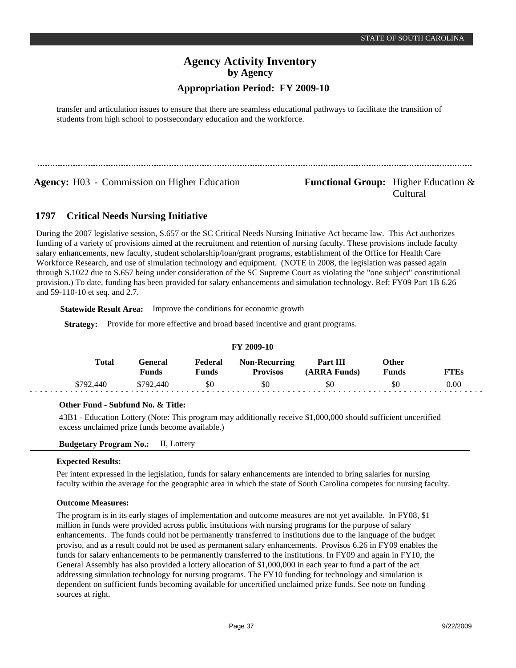# **Agency Activity Inventory by Agency**

## **Appropriation Period: FY 2009-10**

transfer and articulation issues to ensure that there are seamless educational pathways to facilitate the transition of students from high school to postsecondary education and the workforce.

**Agency:** H03 - Commission on Higher Education **Functional Group:** Higher Education &

Cultural

#### **Critical Needs Nursing Initiative 1797**

During the 2007 legislative session, S.657 or the SC Critical Needs Nursing Initiative Act became law. This Act authorizes funding of a variety of provisions aimed at the recruitment and retention of nursing faculty. These provisions include faculty salary enhancements, new faculty, student scholarship/loan/grant programs, establishment of the Office for Health Care Workforce Research, and use of simulation technology and equipment. (NOTE in 2008, the legislation was passed again through S.1022 due to S.657 being under consideration of the SC Supreme Court as violating the "one subject" constitutional provision.) To date, funding has been provided for salary enhancements and simulation technology. Ref: FY09 Part 1B 6.26 and 59-110-10 et seq. and 2.7.

**Statewide Result Area:** Improve the conditions for economic growth

**Strategy:** Provide for more effective and broad based incentive and grant programs.

| 11 2002-10 |           |                  |                  |                                         |                          |                       |      |  |  |  |
|------------|-----------|------------------|------------------|-----------------------------------------|--------------------------|-----------------------|------|--|--|--|
|            | Total     | General<br>Funds | Federal<br>Funds | <b>Non-Recurring</b><br><b>Provisos</b> | Part III<br>(ARRA Funds) | Other<br><b>Funds</b> | FTEs |  |  |  |
|            | \$792.440 | \$792,440        | \$0              | \$0                                     | \$0                      | \$0                   | 0.00 |  |  |  |

# **FY 2009-10**

#### **Other Fund - Subfund No. & Title:**

43B1 - Education Lottery (Note: This program may additionally receive \$1,000,000 should sufficient uncertified excess unclaimed prize funds become available.)

**Budgetary Program No.:** II, Lottery

#### **Expected Results:**

Per intent expressed in the legislation, funds for salary enhancements are intended to bring salaries for nursing faculty within the average for the geographic area in which the state of South Carolina competes for nursing faculty.

#### **Outcome Measures:**

The program is in its early stages of implementation and outcome measures are not yet available. In FY08, \$1 million in funds were provided across public institutions with nursing programs for the purpose of salary enhancements. The funds could not be permanently transferred to institutions due to the language of the budget proviso, and as a result could not be used as permanent salary enhancements. Provisos 6.26 in FY09 enables the funds for salary enhancements to be permanently transferred to the institutions. In FY09 and again in FY10, the General Assembly has also provided a lottery allocation of \$1,000,000 in each year to fund a part of the act addressing simulation technology for nursing programs. The FY10 funding for technology and simulation is dependent on sufficient funds becoming available for uncertified unclaimed prize funds. See note on funding sources at right.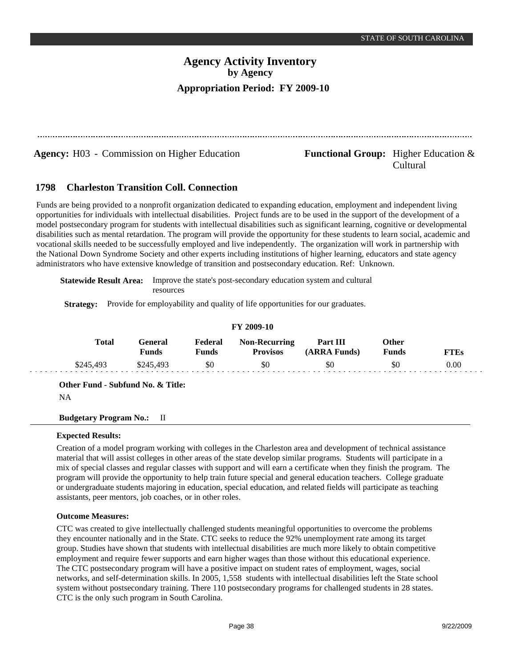**Agency:** H03 - Commission on Higher Education **Functional Group:** Higher Education &

Cultural

#### **Charleston Transition Coll. Connection 1798**

Funds are being provided to a nonprofit organization dedicated to expanding education, employment and independent living opportunities for individuals with intellectual disabilities. Project funds are to be used in the support of the development of a model postsecondary program for students with intellectual disabilities such as significant learning, cognitive or developmental disabilities such as mental retardation. The program will provide the opportunity for these students to learn social, academic and vocational skills needed to be successfully employed and live independently. The organization will work in partnership with the National Down Syndrome Society and other experts including institutions of higher learning, educators and state agency administrators who have extensive knowledge of transition and postsecondary education. Ref: Unknown.

**Statewide Result Area:** Improve the state's post-secondary education system and cultural resources

**Strategy:** Provide for employability and quality of life opportunities for our graduates.

| <b>FY 2009-10</b> |              |                         |                         |                                         |                                 |                |             |  |  |  |
|-------------------|--------------|-------------------------|-------------------------|-----------------------------------------|---------------------------------|----------------|-------------|--|--|--|
|                   | <b>Total</b> | General<br><b>Funds</b> | Federal<br><b>Funds</b> | <b>Non-Recurring</b><br><b>Provisos</b> | <b>Part III</b><br>(ARRA Funds) | Other<br>Funds | <b>FTEs</b> |  |  |  |
|                   | \$245,493    | \$245,493               | \$0                     | \$0                                     | \$0                             | \$0            | 0.00        |  |  |  |

**Other Fund - Subfund No. & Title:**

NA

## **Budgetary Program No.:** II

## **Expected Results:**

Creation of a model program working with colleges in the Charleston area and development of technical assistance material that will assist colleges in other areas of the state develop similar programs. Students will participate in a mix of special classes and regular classes with support and will earn a certificate when they finish the program. The program will provide the opportunity to help train future special and general education teachers. College graduate or undergraduate students majoring in education, special education, and related fields will participate as teaching assistants, peer mentors, job coaches, or in other roles.

## **Outcome Measures:**

CTC was created to give intellectually challenged students meaningful opportunities to overcome the problems they encounter nationally and in the State. CTC seeks to reduce the 92% unemployment rate among its target group. Studies have shown that students with intellectual disabilities are much more likely to obtain competitive employment and require fewer supports and earn higher wages than those without this educational experience. The CTC postsecondary program will have a positive impact on student rates of employment, wages, social networks, and self-determination skills. In 2005, 1,558 students with intellectual disabilities left the State school system without postsecondary training. There 110 postsecondary programs for challenged students in 28 states. CTC is the only such program in South Carolina.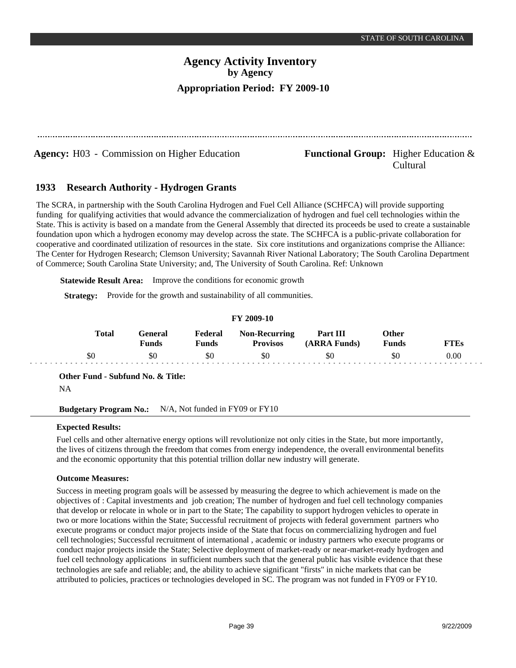**Agency:** H03 - Commission on Higher Education **Functional Group:** Higher Education &

# Cultural

#### **Research Authority - Hydrogen Grants 1933**

The SCRA, in partnership with the South Carolina Hydrogen and Fuel Cell Alliance (SCHFCA) will provide supporting funding for qualifying activities that would advance the commercialization of hydrogen and fuel cell technologies within the State. This is activity is based on a mandate from the General Assembly that directed its proceeds be used to create a sustainable foundation upon which a hydrogen economy may develop across the state. The SCHFCA is a public-private collaboration for cooperative and coordinated utilization of resources in the state. Six core institutions and organizations comprise the Alliance: The Center for Hydrogen Research; Clemson University; Savannah River National Laboratory; The South Carolina Department of Commerce; South Carolina State University; and, The University of South Carolina. Ref: Unknown

**Statewide Result Area:** Improve the conditions for economic growth

**Strategy:** Provide for the growth and sustainability of all communities.

## **FY 2009-10**

| <b>Total</b> | <del>`e</del> neral<br>Funds | Federal<br>Funds | <b>Non-Recurring</b><br><b>Provisos</b> | Part III<br>(ARRA Funds) | Other<br><b>Funds</b> | FTEs     |
|--------------|------------------------------|------------------|-----------------------------------------|--------------------------|-----------------------|----------|
| ъU           | \$0                          | \$0              | \$0                                     | SC                       | YC.                   | $0.00\,$ |

**Other Fund - Subfund No. & Title:**

**Budgetary Program No.:** N/A, Not funded in FY09 or FY10

## **Expected Results:**

Fuel cells and other alternative energy options will revolutionize not only cities in the State, but more importantly, the lives of citizens through the freedom that comes from energy independence, the overall environmental benefits and the economic opportunity that this potential trillion dollar new industry will generate.

## **Outcome Measures:**

Success in meeting program goals will be assessed by measuring the degree to which achievement is made on the objectives of : Capital investments and job creation; The number of hydrogen and fuel cell technology companies that develop or relocate in whole or in part to the State; The capability to support hydrogen vehicles to operate in two or more locations within the State; Successful recruitment of projects with federal government partners who execute programs or conduct major projects inside of the State that focus on commercializing hydrogen and fuel cell technologies; Successful recruitment of international , academic or industry partners who execute programs or conduct major projects inside the State; Selective deployment of market-ready or near-market-ready hydrogen and fuel cell technology applications in sufficient numbers such that the general public has visible evidence that these technologies are safe and reliable; and, the ability to achieve significant "firsts" in niche markets that can be attributed to policies, practices or technologies developed in SC. The program was not funded in FY09 or FY10.

NA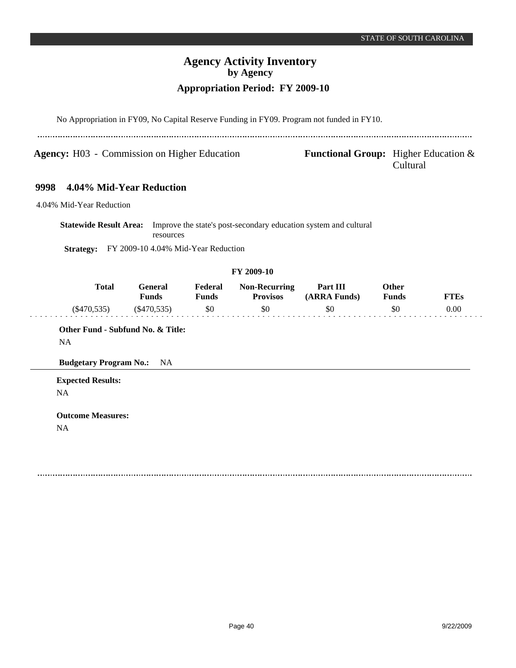| <b>Agency:</b> H03 - Commission on Higher Education |              |                                     |                         | <b>Functional Group:</b> Higher Education $\&$ | Cultural                                                         |                       |             |
|-----------------------------------------------------|--------------|-------------------------------------|-------------------------|------------------------------------------------|------------------------------------------------------------------|-----------------------|-------------|
| 9998                                                |              | 4.04% Mid-Year Reduction            |                         |                                                |                                                                  |                       |             |
| 4.04% Mid-Year Reduction                            |              |                                     |                         |                                                |                                                                  |                       |             |
| <b>Statewide Result Area:</b>                       |              | resources                           |                         |                                                | Improve the state's post-secondary education system and cultural |                       |             |
| <b>Strategy:</b>                                    |              | FY 2009-10 4.04% Mid-Year Reduction |                         |                                                |                                                                  |                       |             |
|                                                     |              |                                     |                         | FY 2009-10                                     |                                                                  |                       |             |
|                                                     | <b>Total</b> | General<br><b>Funds</b>             | Federal<br><b>Funds</b> | <b>Non-Recurring</b><br><b>Provisos</b>        | Part III<br>(ARRA Funds)                                         | Other<br><b>Funds</b> | <b>FTEs</b> |
| $(\$470,535)$                                       |              | $(\$470,535)$                       | \$0                     | \$0                                            | \$0                                                              | \$0                   | 0.00        |
|                                                     |              | Other Fund - Subfund No. & Title:   |                         |                                                |                                                                  |                       |             |
| <b>NA</b>                                           |              |                                     |                         |                                                |                                                                  |                       |             |
| <b>Budgetary Program No.:</b>                       |              | <b>NA</b>                           |                         |                                                |                                                                  |                       |             |
| <b>Expected Results:</b>                            |              |                                     |                         |                                                |                                                                  |                       |             |
| NA                                                  |              |                                     |                         |                                                |                                                                  |                       |             |
| <b>Outcome Measures:</b>                            |              |                                     |                         |                                                |                                                                  |                       |             |
| NA                                                  |              |                                     |                         |                                                |                                                                  |                       |             |